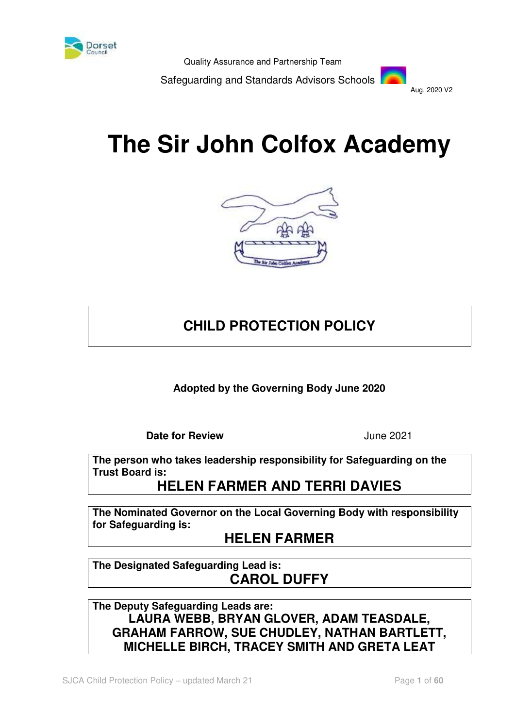

Safeguarding and Standards Advisors Schools



# **The Sir John Colfox Academy**



# **CHILD PROTECTION POLICY**

**Adopted by the Governing Body June 2020**

**Date for Review**  June 2021

**The person who takes leadership responsibility for Safeguarding on the Trust Board is:** 

# **HELEN FARMER AND TERRI DAVIES**

**The Nominated Governor on the Local Governing Body with responsibility for Safeguarding is:** 

# **HELEN FARMER**

**The Designated Safeguarding Lead is: CAROL DUFFY**

**The Deputy Safeguarding Leads are: LAURA WEBB, BRYAN GLOVER, ADAM TEASDALE, GRAHAM FARROW, SUE CHUDLEY, NATHAN BARTLETT, MICHELLE BIRCH, TRACEY SMITH AND GRETA LEAT**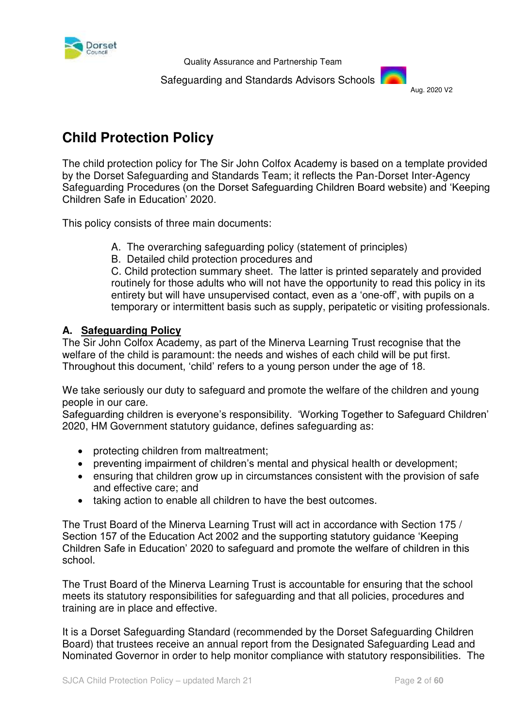

Safeguarding and Standards Advisors Schools



# **Child Protection Policy**

The child protection policy for The Sir John Colfox Academy is based on a template provided by the Dorset Safeguarding and Standards Team; it reflects the Pan-Dorset Inter-Agency Safeguarding Procedures (on the Dorset Safeguarding Children Board website) and 'Keeping Children Safe in Education' 2020.

This policy consists of three main documents:

- A. The overarching safeguarding policy (statement of principles)
- B. Detailed child protection procedures and

C. Child protection summary sheet. The latter is printed separately and provided routinely for those adults who will not have the opportunity to read this policy in its entirety but will have unsupervised contact, even as a 'one-off', with pupils on a temporary or intermittent basis such as supply, peripatetic or visiting professionals.

# **A. Safeguarding Policy**

The Sir John Colfox Academy, as part of the Minerva Learning Trust recognise that the welfare of the child is paramount: the needs and wishes of each child will be put first. Throughout this document, 'child' refers to a young person under the age of 18.

We take seriously our duty to safeguard and promote the welfare of the children and young people in our care.

Safeguarding children is everyone's responsibility. 'Working Together to Safeguard Children' 2020, HM Government statutory guidance, defines safeguarding as:

- protecting children from maltreatment;
- preventing impairment of children's mental and physical health or development;
- ensuring that children grow up in circumstances consistent with the provision of safe and effective care; and
- taking action to enable all children to have the best outcomes.

The Trust Board of the Minerva Learning Trust will act in accordance with Section 175 / Section 157 of the Education Act 2002 and the supporting statutory guidance 'Keeping Children Safe in Education' 2020 to safeguard and promote the welfare of children in this school.

The Trust Board of the Minerva Learning Trust is accountable for ensuring that the school meets its statutory responsibilities for safeguarding and that all policies, procedures and training are in place and effective.

It is a Dorset Safeguarding Standard (recommended by the Dorset Safeguarding Children Board) that trustees receive an annual report from the Designated Safeguarding Lead and Nominated Governor in order to help monitor compliance with statutory responsibilities. The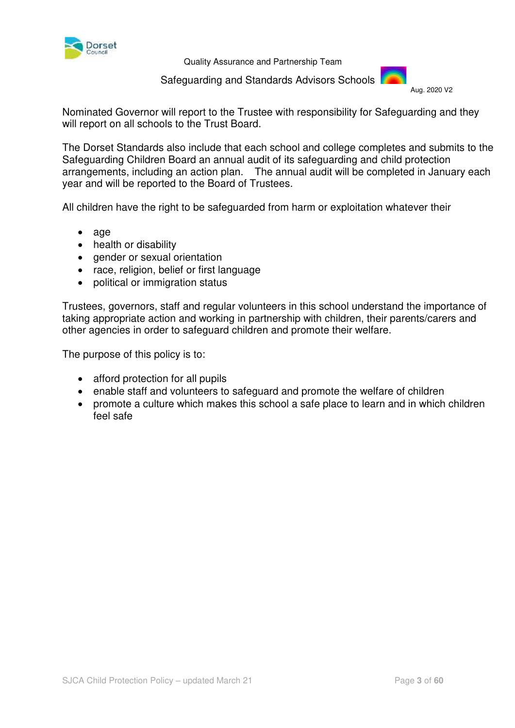

Safeguarding and Standards Advisors Schools



Nominated Governor will report to the Trustee with responsibility for Safeguarding and they will report on all schools to the Trust Board.

The Dorset Standards also include that each school and college completes and submits to the Safeguarding Children Board an annual audit of its safeguarding and child protection arrangements, including an action plan. The annual audit will be completed in January each year and will be reported to the Board of Trustees.

All children have the right to be safeguarded from harm or exploitation whatever their

- age
- health or disability
- gender or sexual orientation
- race, religion, belief or first language
- political or immigration status

Trustees, governors, staff and regular volunteers in this school understand the importance of taking appropriate action and working in partnership with children, their parents/carers and other agencies in order to safeguard children and promote their welfare.

The purpose of this policy is to:

- afford protection for all pupils
- enable staff and volunteers to safeguard and promote the welfare of children
- promote a culture which makes this school a safe place to learn and in which children feel safe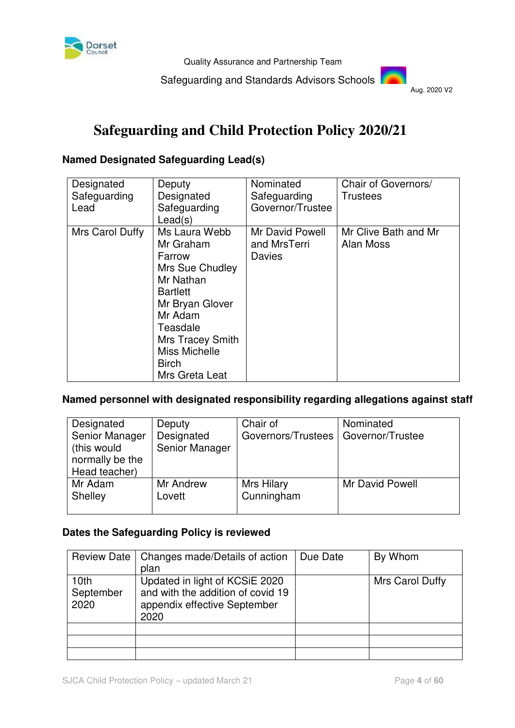

Safeguarding and Standards Advisors Schools

Aug. 2020 V2

# **Safeguarding and Child Protection Policy 2020/21**

# **Named Designated Safeguarding Lead(s)**

| Designated<br>Safeguarding<br>Lead | Deputy<br>Designated<br>Safeguarding<br>Lead(s)                                                                                                                                                                 | Nominated<br>Safeguarding<br>Governor/Trustee | Chair of Governors/<br><b>Trustees</b> |
|------------------------------------|-----------------------------------------------------------------------------------------------------------------------------------------------------------------------------------------------------------------|-----------------------------------------------|----------------------------------------|
| Mrs Carol Duffy                    | Ms Laura Webb<br>Mr Graham<br>Farrow<br>Mrs Sue Chudley<br>Mr Nathan<br><b>Bartlett</b><br>Mr Bryan Glover<br>Mr Adam<br>Teasdale<br><b>Mrs Tracey Smith</b><br>Miss Michelle<br><b>Birch</b><br>Mrs Greta Leat | Mr David Powell<br>and MrsTerri<br>Davies     | Mr Clive Bath and Mr<br>Alan Moss      |

# **Named personnel with designated responsibility regarding allegations against staff**

| Designated<br>Senior Manager<br>(this would<br>normally be the<br>Head teacher) | Deputy<br>Designated<br>Senior Manager | Chair of<br>Governors/Trustees | Nominated<br>Governor/Trustee |
|---------------------------------------------------------------------------------|----------------------------------------|--------------------------------|-------------------------------|
| Mr Adam                                                                         | Mr Andrew                              | Mrs Hilary                     | Mr David Powell               |
| Shelley                                                                         | Lovett                                 | Cunningham                     |                               |

#### **Dates the Safeguarding Policy is reviewed**

| <b>Review Date</b>                    | Changes made/Details of action<br>plan                                                                      | Due Date | By Whom         |
|---------------------------------------|-------------------------------------------------------------------------------------------------------------|----------|-----------------|
| 10 <sub>th</sub><br>September<br>2020 | Updated in light of KCSiE 2020<br>and with the addition of covid 19<br>appendix effective September<br>2020 |          | Mrs Carol Duffy |
|                                       |                                                                                                             |          |                 |
|                                       |                                                                                                             |          |                 |
|                                       |                                                                                                             |          |                 |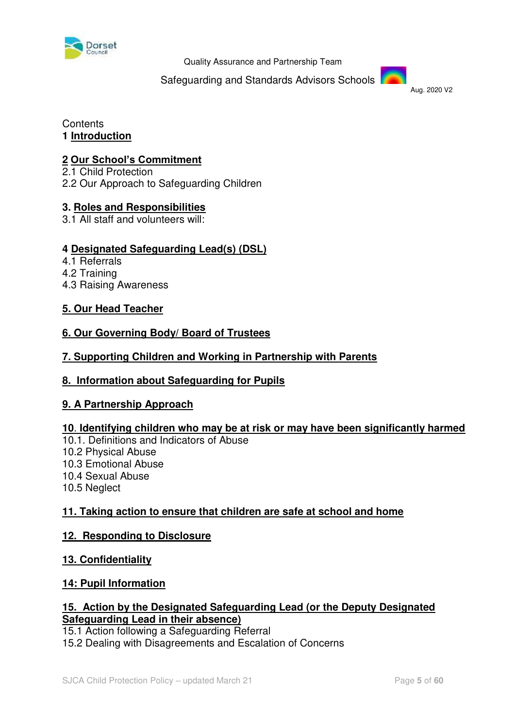

Safeguarding and Standards Advisors Schools

Aug. 2020 V2

#### **Contents 1 Introduction**

# **2 [Our School's Commitment](#page-7-0)**

2.1 Child Protection 2.2 Our Approach to Safeguarding Children

# **3. [Roles and Responsibilities](#page-8-0)**

3.1 All staff and volunteers will:

# **4 Designated Safeguarding Lead(s) (DSL)**

- 4.1 Referrals
- 4.2 Training
- 4.3 Raising Awareness

# **5. Our Head Teacher**

# **6. Our Governing Body/ Board of Trustees**

# **7. Supporting Children and Working in Partnership with Parents**

# **8. Information about Safeguarding for Pupils**

# **9. A Partnership Approach**

# **10**. **Identifying children who may be at risk or may have been significantly harmed**

- 10.1. Definitions and Indicators of Abuse
- 10.2 Physical Abuse
- 10.3 Emotional Abuse
- 10.4 Sexual Abuse
- 10.5 Neglect

# **11. Taking action to ensure that children are safe at school and home**

# **12. Responding to Disclosure**

#### **13. Confidentiality**

# **14: Pupil Information**

#### **15. Action by the Designated Safeguarding Lead (or the Deputy Designated Safeguarding Lead in their absence)**

15.1 Action following a Safeguarding Referral

15.2 Dealing with Disagreements and Escalation of Concerns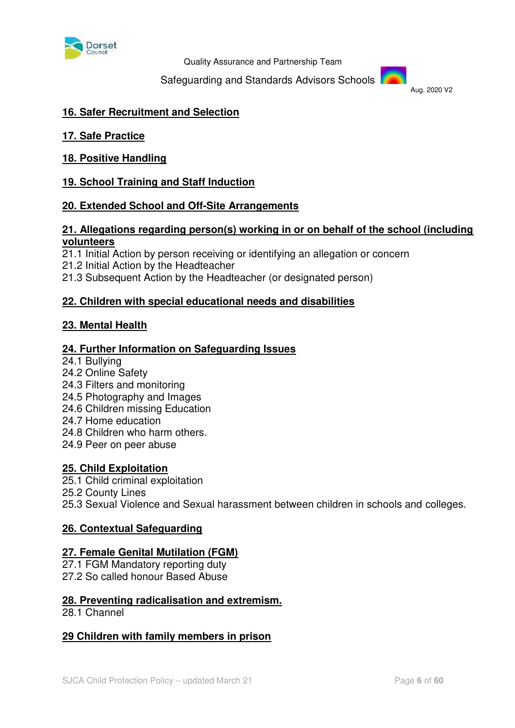

Safeguarding and Standards Advisors Schools

Aug. 2020 V2

#### **16. Safer Recruitment and Selection**

**17. Safe Practice** 

**18. Positive Handling** 

#### **19. School Training and Staff Induction**

#### **20. Extended School and Off-Site Arrangements**

#### **21. Allegations regarding person(s) working in or on behalf of the school (including volunteers**

21.1 Initial Action by person receiving or identifying an allegation or concern

21.2 Initial Action by the Headteacher

21.3 Subsequent Action by the Headteacher (or designated person)

#### **22. Children with special educational needs and disabilities**

#### **23. Mental Health**

#### **24. Further Information on Safeguarding Issues**

24.1 Bullying 24.2 Online Safety

- 24.3 Filters and monitoring
- 24.5 Photography and Images
- 24.6 Children missing Education
- 24.7 Home education
- 24.8 Children who harm others.
- 24.9 Peer on peer abuse

#### **25. Child Exploitation**

25.1 Child criminal exploitation

25.2 County Lines

25.3 Sexual Violence and Sexual harassment between children in schools and colleges.

#### **26. Contextual Safeguarding**

#### **27. Female Genital Mutilation (FGM)**

27.1 FGM Mandatory reporting duty 27.2 So called honour Based Abuse

#### **28. Preventing radicalisation and extremism.**

28.1 Channel

#### **29 Children with family members in prison**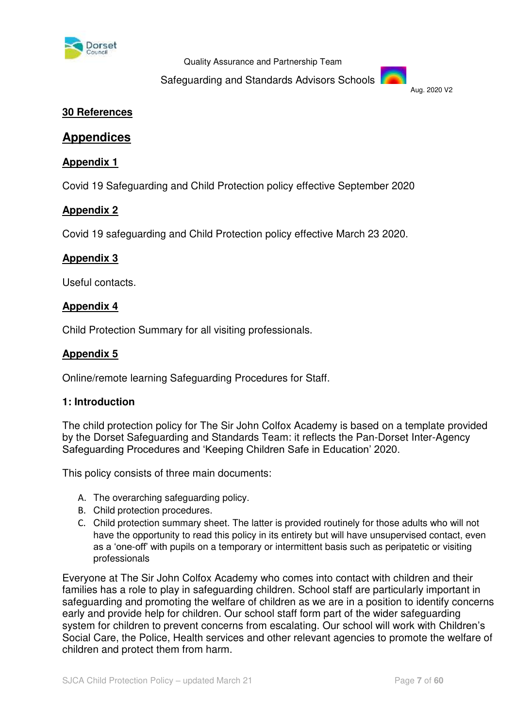

Safeguarding and Standards Advisors Schools



### **30 References**

# **Appendices**

#### **Appendix 1**

Covid 19 Safeguarding and Child Protection policy effective September 2020

# **Appendix 2**

Covid 19 safeguarding and Child Protection policy effective March 23 2020.

#### **Appendix 3**

Useful contacts.

#### **Appendix 4**

Child Protection Summary for all visiting professionals.

#### **Appendix 5**

Online/remote learning Safeguarding Procedures for Staff.

#### **1: Introduction**

The child protection policy for The Sir John Colfox Academy is based on a template provided by the Dorset Safeguarding and Standards Team: it reflects the Pan-Dorset Inter-Agency Safeguarding Procedures and 'Keeping Children Safe in Education' 2020.

This policy consists of three main documents:

- A. The overarching safeguarding policy.
- B. Child protection procedures.
- C. Child protection summary sheet. The latter is provided routinely for those adults who will not have the opportunity to read this policy in its entirety but will have unsupervised contact, even as a 'one-off' with pupils on a temporary or intermittent basis such as peripatetic or visiting professionals

Everyone at The Sir John Colfox Academy who comes into contact with children and their families has a role to play in safeguarding children. School staff are particularly important in safeguarding and promoting the welfare of children as we are in a position to identify concerns early and provide help for children. Our school staff form part of the wider safeguarding system for children to prevent concerns from escalating. Our school will work with Children's Social Care, the Police, Health services and other relevant agencies to promote the welfare of children and protect them from harm.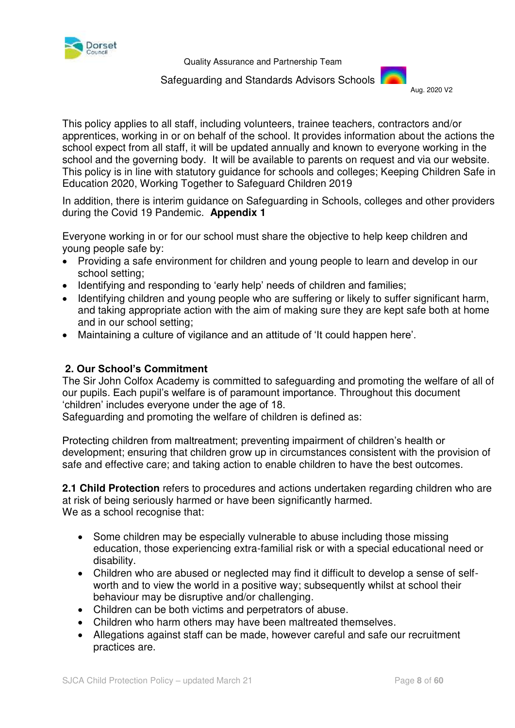

 Safeguarding and Standards Advisors Schools Aug. 2020 V2

<span id="page-7-0"></span>

This policy applies to all staff, including volunteers, trainee teachers, contractors and/or apprentices, working in or on behalf of the school. It provides information about the actions the school expect from all staff, it will be updated annually and known to everyone working in the school and the governing body. It will be available to parents on request and via our website. This policy is in line with statutory guidance for schools and colleges; Keeping Children Safe in Education 2020, Working Together to Safeguard Children 2019

In addition, there is interim guidance on Safeguarding in Schools, colleges and other providers during the Covid 19 Pandemic. **Appendix 1** 

Everyone working in or for our school must share the objective to help keep children and young people safe by:

- Providing a safe environment for children and young people to learn and develop in our school setting;
- Identifying and responding to 'early help' needs of children and families;
- Identifying children and young people who are suffering or likely to suffer significant harm, and taking appropriate action with the aim of making sure they are kept safe both at home and in our school setting;
- Maintaining a culture of vigilance and an attitude of 'It could happen here'.

# **2. Our School's Commitment**

The Sir John Colfox Academy is committed to safeguarding and promoting the welfare of all of our pupils. Each pupil's welfare is of paramount importance. Throughout this document 'children' includes everyone under the age of 18.

Safeguarding and promoting the welfare of children is defined as:

Protecting children from maltreatment; preventing impairment of children's health or development; ensuring that children grow up in circumstances consistent with the provision of safe and effective care; and taking action to enable children to have the best outcomes.

**2.1 Child Protection** refers to procedures and actions undertaken regarding children who are at risk of being seriously harmed or have been significantly harmed. We as a school recognise that:

- Some children may be especially vulnerable to abuse including those missing education, those experiencing extra-familial risk or with a special educational need or disability.
- Children who are abused or neglected may find it difficult to develop a sense of selfworth and to view the world in a positive way; subsequently whilst at school their behaviour may be disruptive and/or challenging.
- Children can be both victims and perpetrators of abuse.
- Children who harm others may have been maltreated themselves.
- Allegations against staff can be made, however careful and safe our recruitment practices are.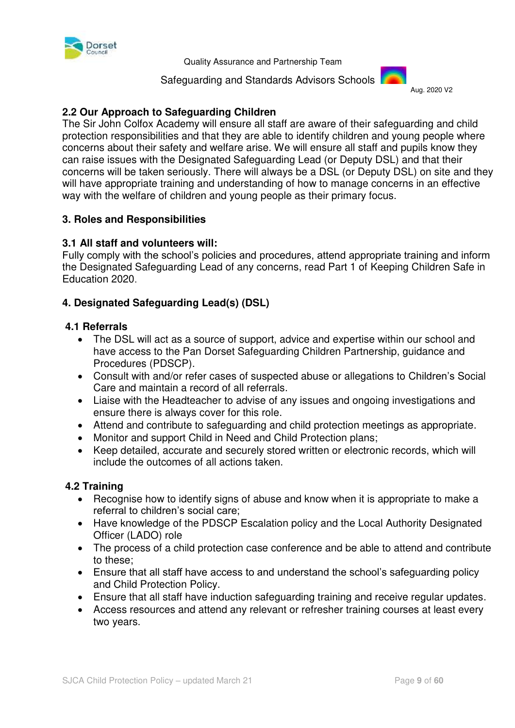

Safeguarding and Standards Advisors Schools



# **2.2 Our Approach to Safeguarding Children**

The Sir John Colfox Academy will ensure all staff are aware of their safeguarding and child protection responsibilities and that they are able to identify children and young people where concerns about their safety and welfare arise. We will ensure all staff and pupils know they can raise issues with the Designated Safeguarding Lead (or Deputy DSL) and that their concerns will be taken seriously. There will always be a DSL (or Deputy DSL) on site and they will have appropriate training and understanding of how to manage concerns in an effective way with the welfare of children and young people as their primary focus.

#### <span id="page-8-0"></span>**3. Roles and Responsibilities**

#### **3.1 All staff and volunteers will:**

Fully comply with the school's policies and procedures, attend appropriate training and inform the Designated Safeguarding Lead of any concerns, read Part 1 of Keeping Children Safe in Education 2020.

#### **4. Designated Safeguarding Lead(s) (DSL)**

#### **4.1 Referrals**

- The DSL will act as a source of support, advice and expertise within our school and have access to the Pan Dorset Safeguarding Children Partnership, guidance and Procedures (PDSCP).
- Consult with and/or refer cases of suspected abuse or allegations to Children's Social Care and maintain a record of all referrals.
- Liaise with the Headteacher to advise of any issues and ongoing investigations and ensure there is always cover for this role.
- Attend and contribute to safeguarding and child protection meetings as appropriate.
- Monitor and support Child in Need and Child Protection plans;
- Keep detailed, accurate and securely stored written or electronic records, which will include the outcomes of all actions taken.

#### **4.2 Training**

- Recognise how to identify signs of abuse and know when it is appropriate to make a referral to children's social care;
- Have knowledge of the PDSCP Escalation policy and the Local Authority Designated Officer (LADO) role
- The process of a child protection case conference and be able to attend and contribute to these;
- Ensure that all staff have access to and understand the school's safeguarding policy and Child Protection Policy.
- Ensure that all staff have induction safeguarding training and receive regular updates.
- Access resources and attend any relevant or refresher training courses at least every two years.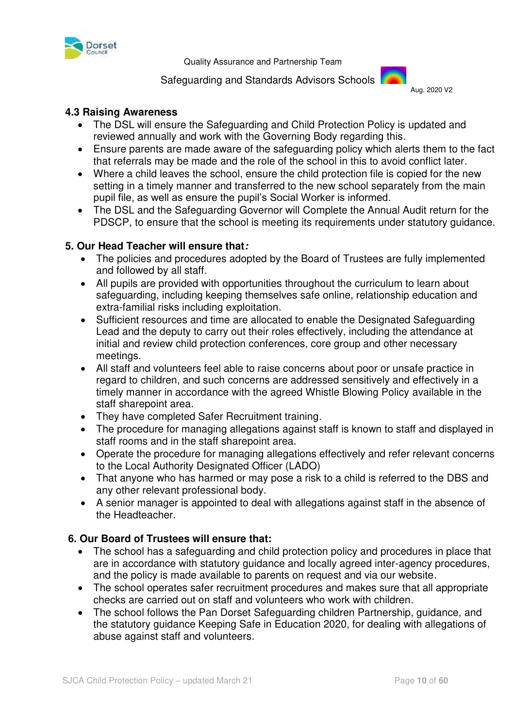

#### Safeguarding and Standards Advisors Schools



### **4.3 Raising Awareness**

- The DSL will ensure the Safeguarding and Child Protection Policy is updated and reviewed annually and work with the Governing Body regarding this.
- Ensure parents are made aware of the safeguarding policy which alerts them to the fact that referrals may be made and the role of the school in this to avoid conflict later.
- Where a child leaves the school, ensure the child protection file is copied for the new setting in a timely manner and transferred to the new school separately from the main pupil file, as well as ensure the pupil's Social Worker is informed.
- The DSL and the Safeguarding Governor will Complete the Annual Audit return for the PDSCP, to ensure that the school is meeting its requirements under statutory guidance.

#### **5. Our Head Teacher will ensure that:**

- The policies and procedures adopted by the Board of Trustees are fully implemented and followed by all staff.
- All pupils are provided with opportunities throughout the curriculum to learn about safeguarding, including keeping themselves safe online, relationship education and extra-familial risks including exploitation.
- Sufficient resources and time are allocated to enable the Designated Safeguarding Lead and the deputy to carry out their roles effectively, including the attendance at initial and review child protection conferences, core group and other necessary meetings.
- All staff and volunteers feel able to raise concerns about poor or unsafe practice in regard to children, and such concerns are addressed sensitively and effectively in a timely manner in accordance with the agreed Whistle Blowing Policy available in the staff sharepoint area.
- They have completed Safer Recruitment training.
- The procedure for managing allegations against staff is known to staff and displayed in staff rooms and in the staff sharepoint area.
- Operate the procedure for managing allegations effectively and refer relevant concerns to the Local Authority Designated Officer (LADO)
- That anyone who has harmed or may pose a risk to a child is referred to the DBS and any other relevant professional body.
- A senior manager is appointed to deal with allegations against staff in the absence of the Headteacher.

# **6. Our Board of Trustees will ensure that:**

- The school has a safeguarding and child protection policy and procedures in place that are in accordance with statutory guidance and locally agreed inter-agency procedures, and the policy is made available to parents on request and via our website.
- The school operates safer recruitment procedures and makes sure that all appropriate checks are carried out on staff and volunteers who work with children.
- The school follows the Pan Dorset Safeguarding children Partnership, guidance, and the statutory guidance Keeping Safe in Education 2020, for dealing with allegations of abuse against staff and volunteers.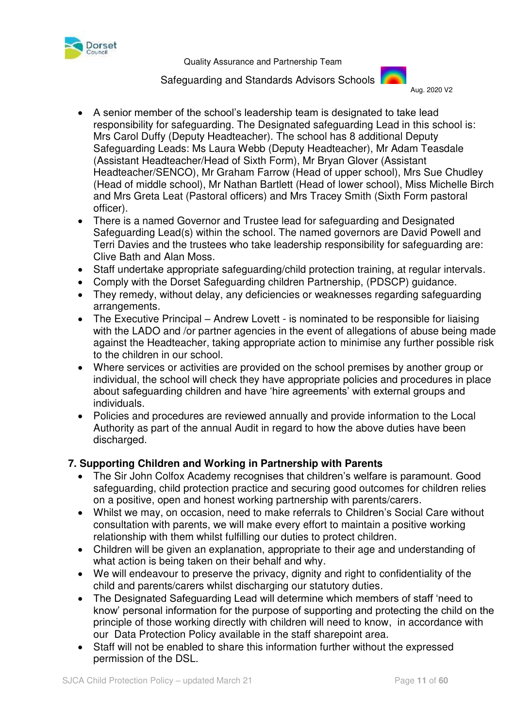

 Safeguarding and Standards Advisors Schools Aug. 2020 V2



- A senior member of the school's leadership team is designated to take lead responsibility for safeguarding. The Designated safeguarding Lead in this school is: Mrs Carol Duffy (Deputy Headteacher). The school has 8 additional Deputy Safeguarding Leads: Ms Laura Webb (Deputy Headteacher), Mr Adam Teasdale (Assistant Headteacher/Head of Sixth Form), Mr Bryan Glover (Assistant Headteacher/SENCO), Mr Graham Farrow (Head of upper school), Mrs Sue Chudley (Head of middle school), Mr Nathan Bartlett (Head of lower school), Miss Michelle Birch and Mrs Greta Leat (Pastoral officers) and Mrs Tracey Smith (Sixth Form pastoral officer).
- There is a named Governor and Trustee lead for safeguarding and Designated Safeguarding Lead(s) within the school. The named governors are David Powell and Terri Davies and the trustees who take leadership responsibility for safeguarding are: Clive Bath and Alan Moss.
- Staff undertake appropriate safeguarding/child protection training, at regular intervals.
- Comply with the Dorset Safeguarding children Partnership, (PDSCP) guidance.
- They remedy, without delay, any deficiencies or weaknesses regarding safeguarding arrangements.
- The Executive Principal Andrew Lovett is nominated to be responsible for liaising with the LADO and /or partner agencies in the event of allegations of abuse being made against the Headteacher, taking appropriate action to minimise any further possible risk to the children in our school.
- Where services or activities are provided on the school premises by another group or individual, the school will check they have appropriate policies and procedures in place about safeguarding children and have 'hire agreements' with external groups and individuals.
- Policies and procedures are reviewed annually and provide information to the Local Authority as part of the annual Audit in regard to how the above duties have been discharged.

# **7. Supporting Children and Working in Partnership with Parents**

- The Sir John Colfox Academy recognises that children's welfare is paramount. Good safeguarding, child protection practice and securing good outcomes for children relies on a positive, open and honest working partnership with parents/carers.
- Whilst we may, on occasion, need to make referrals to Children's Social Care without consultation with parents, we will make every effort to maintain a positive working relationship with them whilst fulfilling our duties to protect children.
- Children will be given an explanation, appropriate to their age and understanding of what action is being taken on their behalf and why.
- We will endeavour to preserve the privacy, dignity and right to confidentiality of the child and parents/carers whilst discharging our statutory duties.
- The Designated Safeguarding Lead will determine which members of staff 'need to know' personal information for the purpose of supporting and protecting the child on the principle of those working directly with children will need to know, in accordance with our Data Protection Policy available in the staff sharepoint area.
- Staff will not be enabled to share this information further without the expressed permission of the DSL.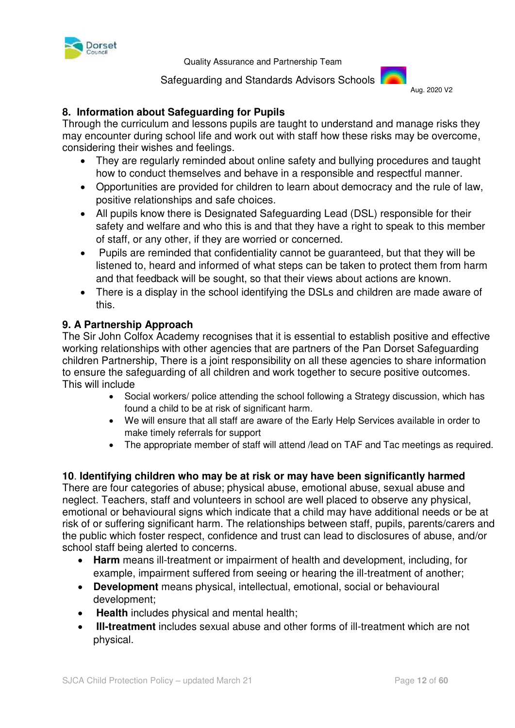

Safeguarding and Standards Advisors Schools



# **8. Information about Safeguarding for Pupils**

Through the curriculum and lessons pupils are taught to understand and manage risks they may encounter during school life and work out with staff how these risks may be overcome, considering their wishes and feelings.

- They are regularly reminded about online safety and bullying procedures and taught how to conduct themselves and behave in a responsible and respectful manner.
- Opportunities are provided for children to learn about democracy and the rule of law, positive relationships and safe choices.
- All pupils know there is Designated Safeguarding Lead (DSL) responsible for their safety and welfare and who this is and that they have a right to speak to this member of staff, or any other, if they are worried or concerned.
- Pupils are reminded that confidentiality cannot be guaranteed, but that they will be listened to, heard and informed of what steps can be taken to protect them from harm and that feedback will be sought, so that their views about actions are known.
- There is a display in the school identifying the DSLs and children are made aware of this.

#### **9. A Partnership Approach**

The Sir John Colfox Academy recognises that it is essential to establish positive and effective working relationships with other agencies that are partners of the Pan Dorset Safeguarding children Partnership, There is a joint responsibility on all these agencies to share information to ensure the safeguarding of all children and work together to secure positive outcomes. This will include

- Social workers/ police attending the school following a Strategy discussion, which has found a child to be at risk of significant harm.
- We will ensure that all staff are aware of the Early Help Services available in order to make timely referrals for support
- The appropriate member of staff will attend /lead on TAF and Tac meetings as required.

# **10**. **Identifying children who may be at risk or may have been significantly harmed**

There are four categories of abuse; physical abuse, emotional abuse, sexual abuse and neglect. Teachers, staff and volunteers in school are well placed to observe any physical, emotional or behavioural signs which indicate that a child may have additional needs or be at risk of or suffering significant harm. The relationships between staff, pupils, parents/carers and the public which foster respect, confidence and trust can lead to disclosures of abuse, and/or school staff being alerted to concerns.

- **Harm** means ill-treatment or impairment of health and development, including, for example, impairment suffered from seeing or hearing the ill-treatment of another;
- **Development** means physical, intellectual, emotional, social or behavioural development;
- **Health** includes physical and mental health;
- **Ill-treatment** includes sexual abuse and other forms of ill-treatment which are not physical.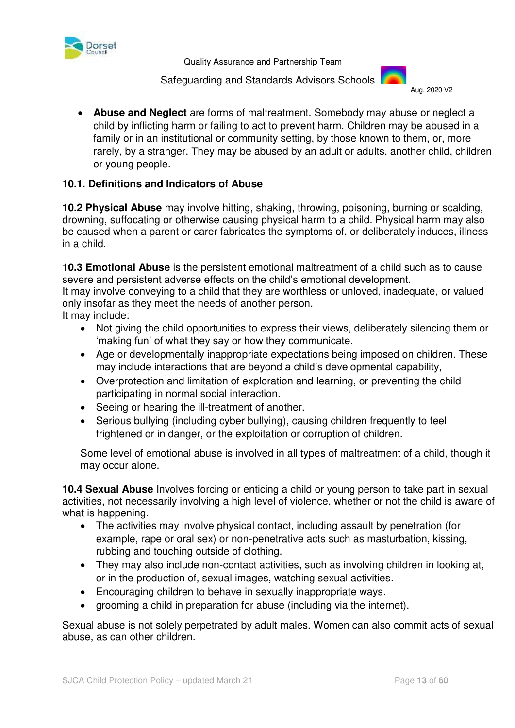

 Safeguarding and Standards Advisors Schools Aug. 2020 V2



 **Abuse and Neglect** are forms of maltreatment. Somebody may abuse or neglect a child by inflicting harm or failing to act to prevent harm. Children may be abused in a family or in an institutional or community setting, by those known to them, or, more rarely, by a stranger. They may be abused by an adult or adults, another child, children or young people.

# **10.1. Definitions and Indicators of Abuse**

**10.2 Physical Abuse** may involve hitting, shaking, throwing, poisoning, burning or scalding, drowning, suffocating or otherwise causing physical harm to a child. Physical harm may also be caused when a parent or carer fabricates the symptoms of, or deliberately induces, illness in a child.

**10.3 Emotional Abuse** is the persistent emotional maltreatment of a child such as to cause severe and persistent adverse effects on the child's emotional development.

It may involve conveying to a child that they are worthless or unloved, inadequate, or valued only insofar as they meet the needs of another person.

It may include:

- Not giving the child opportunities to express their views, deliberately silencing them or 'making fun' of what they say or how they communicate.
- Age or developmentally inappropriate expectations being imposed on children. These may include interactions that are beyond a child's developmental capability,
- Overprotection and limitation of exploration and learning, or preventing the child participating in normal social interaction.
- Seeing or hearing the ill-treatment of another.
- Serious bullying (including cyber bullying), causing children frequently to feel frightened or in danger, or the exploitation or corruption of children.

Some level of emotional abuse is involved in all types of maltreatment of a child, though it may occur alone.

**10.4 Sexual Abuse** Involves forcing or enticing a child or young person to take part in sexual activities, not necessarily involving a high level of violence, whether or not the child is aware of what is happening.

- The activities may involve physical contact, including assault by penetration (for example, rape or oral sex) or non-penetrative acts such as masturbation, kissing, rubbing and touching outside of clothing.
- They may also include non-contact activities, such as involving children in looking at, or in the production of, sexual images, watching sexual activities.
- Encouraging children to behave in sexually inappropriate ways.
- grooming a child in preparation for abuse (including via the internet).

Sexual abuse is not solely perpetrated by adult males. Women can also commit acts of sexual abuse, as can other children.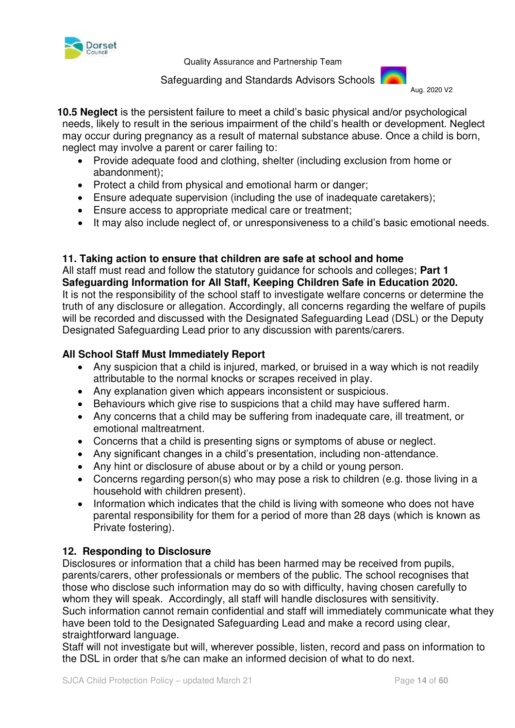

 Safeguarding and Standards Advisors Schools Aug. 2020 V2



 **10.5 Neglect** is the persistent failure to meet a child's basic physical and/or psychological needs, likely to result in the serious impairment of the child's health or development. Neglect may occur during pregnancy as a result of maternal substance abuse. Once a child is born, neglect may involve a parent or carer failing to:

- Provide adequate food and clothing, shelter (including exclusion from home or abandonment);
- Protect a child from physical and emotional harm or danger;
- Ensure adequate supervision (including the use of inadequate caretakers);
- Ensure access to appropriate medical care or treatment;
- It may also include neglect of, or unresponsiveness to a child's basic emotional needs.

#### **11. Taking action to ensure that children are safe at school and home**

All staff must read and follow the statutory guidance for schools and colleges; **Part 1 Safeguarding Information for All Staff, Keeping Children Safe in Education 2020.** It is not the responsibility of the school staff to investigate welfare concerns or determine the truth of any disclosure or allegation. Accordingly, all concerns regarding the welfare of pupils will be recorded and discussed with the Designated Safeguarding Lead (DSL) or the Deputy Designated Safeguarding Lead prior to any discussion with parents/carers.

# **All School Staff Must Immediately Report**

- Any suspicion that a child is injured, marked, or bruised in a way which is not readily attributable to the normal knocks or scrapes received in play.
- Any explanation given which appears inconsistent or suspicious.
- Behaviours which give rise to suspicions that a child may have suffered harm.
- Any concerns that a child may be suffering from inadequate care, ill treatment, or emotional maltreatment.
- Concerns that a child is presenting signs or symptoms of abuse or neglect.
- Any significant changes in a child's presentation, including non-attendance.
- Any hint or disclosure of abuse about or by a child or young person.
- Concerns regarding person(s) who may pose a risk to children (e.g. those living in a household with children present).
- Information which indicates that the child is living with someone who does not have parental responsibility for them for a period of more than 28 days (which is known as Private fostering).

# **12. Responding to Disclosure**

Disclosures or information that a child has been harmed may be received from pupils, parents/carers, other professionals or members of the public. The school recognises that those who disclose such information may do so with difficulty, having chosen carefully to whom they will speak. Accordingly, all staff will handle disclosures with sensitivity. Such information cannot remain confidential and staff will immediately communicate what they have been told to the Designated Safeguarding Lead and make a record using clear, straightforward language.

Staff will not investigate but will, wherever possible, listen, record and pass on information to the DSL in order that s/he can make an informed decision of what to do next.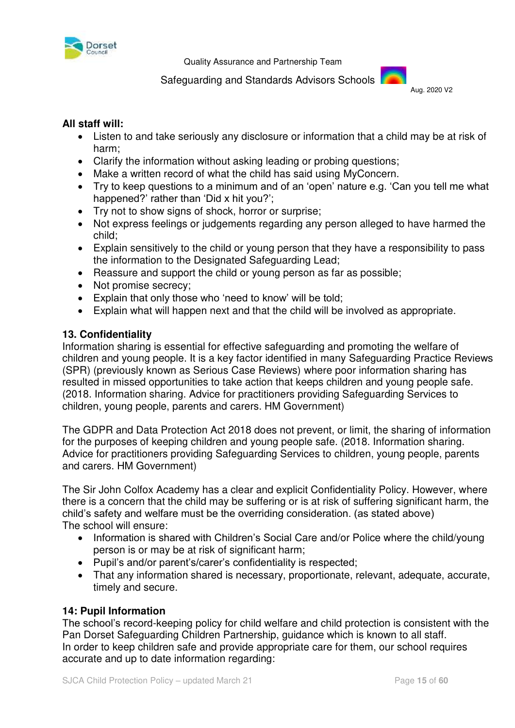

#### Safeguarding and Standards Advisors Schools



#### **All staff will:**

- Listen to and take seriously any disclosure or information that a child may be at risk of harm;
- Clarify the information without asking leading or probing questions;
- Make a written record of what the child has said using MyConcern.
- Try to keep questions to a minimum and of an 'open' nature e.g. 'Can you tell me what happened?' rather than 'Did x hit you?';
- Try not to show signs of shock, horror or surprise;
- Not express feelings or judgements regarding any person alleged to have harmed the child;
- Explain sensitively to the child or young person that they have a responsibility to pass the information to the Designated Safeguarding Lead;
- Reassure and support the child or young person as far as possible:
- Not promise secrecy;
- Explain that only those who 'need to know' will be told;
- Explain what will happen next and that the child will be involved as appropriate.

# **13. Confidentiality**

Information sharing is essential for effective safeguarding and promoting the welfare of children and young people. It is a key factor identified in many Safeguarding Practice Reviews (SPR) (previously known as Serious Case Reviews) where poor information sharing has resulted in missed opportunities to take action that keeps children and young people safe. (2018. Information sharing. Advice for practitioners providing Safeguarding Services to children, young people, parents and carers. HM Government)

The GDPR and Data Protection Act 2018 does not prevent, or limit, the sharing of information for the purposes of keeping children and young people safe. (2018. Information sharing. Advice for practitioners providing Safeguarding Services to children, young people, parents and carers. HM Government)

The Sir John Colfox Academy has a clear and explicit Confidentiality Policy. However, where there is a concern that the child may be suffering or is at risk of suffering significant harm, the child's safety and welfare must be the overriding consideration. (as stated above) The school will ensure:

- Information is shared with Children's Social Care and/or Police where the child/voung person is or may be at risk of significant harm;
- Pupil's and/or parent's/carer's confidentiality is respected;
- That any information shared is necessary, proportionate, relevant, adequate, accurate, timely and secure.

# **14: Pupil Information**

The school's record-keeping policy for child welfare and child protection is consistent with the Pan Dorset Safeguarding Children Partnership, guidance which is known to all staff. In order to keep children safe and provide appropriate care for them, our school requires accurate and up to date information regarding: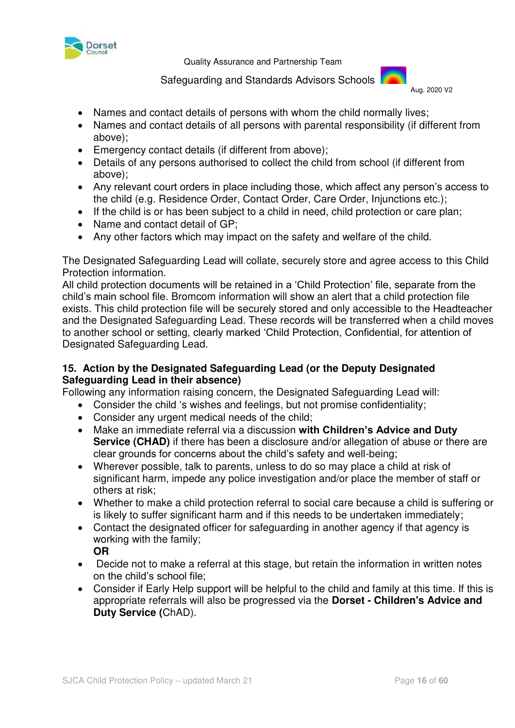

Safeguarding and Standards Advisors Schools



- Names and contact details of persons with whom the child normally lives:
- Names and contact details of all persons with parental responsibility (if different from above);
- Emergency contact details (if different from above);
- Details of any persons authorised to collect the child from school (if different from above);
- Any relevant court orders in place including those, which affect any person's access to the child (e.g. Residence Order, Contact Order, Care Order, Injunctions etc.);
- If the child is or has been subject to a child in need, child protection or care plan;
- Name and contact detail of GP:
- Any other factors which may impact on the safety and welfare of the child.

The Designated Safeguarding Lead will collate, securely store and agree access to this Child Protection information.

All child protection documents will be retained in a 'Child Protection' file, separate from the child's main school file. Bromcom information will show an alert that a child protection file exists. This child protection file will be securely stored and only accessible to the Headteacher and the Designated Safeguarding Lead. These records will be transferred when a child moves to another school or setting, clearly marked 'Child Protection, Confidential, for attention of Designated Safeguarding Lead.

# **15. Action by the Designated Safeguarding Lead (or the Deputy Designated Safeguarding Lead in their absence)**

Following any information raising concern, the Designated Safeguarding Lead will:

- Consider the child 's wishes and feelings, but not promise confidentiality;
- Consider any urgent medical needs of the child:
- Make an immediate referral via a discussion **with Children's Advice and Duty Service (CHAD)** if there has been a disclosure and/or allegation of abuse or there are clear grounds for concerns about the child's safety and well-being;
- Wherever possible, talk to parents, unless to do so may place a child at risk of significant harm, impede any police investigation and/or place the member of staff or others at risk;
- Whether to make a child protection referral to social care because a child is suffering or is likely to suffer significant harm and if this needs to be undertaken immediately;
- Contact the designated officer for safeguarding in another agency if that agency is working with the family;
	- **OR**
- Decide not to make a referral at this stage, but retain the information in written notes on the child's school file;
- Consider if Early Help support will be helpful to the child and family at this time. If this is appropriate referrals will also be progressed via the **Dorset - Children's Advice and Duty Service (**ChAD).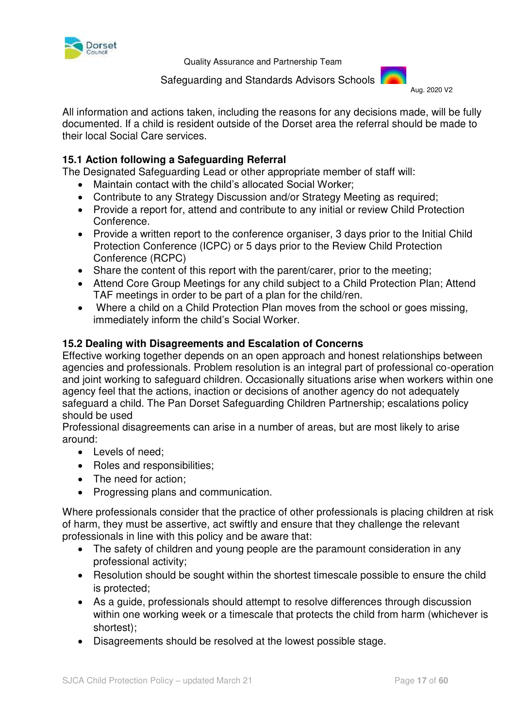

 Safeguarding and Standards Advisors Schools Aug. 2020 V2



All information and actions taken, including the reasons for any decisions made, will be fully documented. If a child is resident outside of the Dorset area the referral should be made to their local Social Care services.

# **15.1 Action following a Safeguarding Referral**

The Designated Safeguarding Lead or other appropriate member of staff will:

- Maintain contact with the child's allocated Social Worker;
- Contribute to any Strategy Discussion and/or Strategy Meeting as required;
- Provide a report for, attend and contribute to any initial or review Child Protection Conference.
- Provide a written report to the conference organiser, 3 days prior to the Initial Child Protection Conference (ICPC) or 5 days prior to the Review Child Protection Conference (RCPC)
- Share the content of this report with the parent/carer, prior to the meeting;
- Attend Core Group Meetings for any child subject to a Child Protection Plan; Attend TAF meetings in order to be part of a plan for the child/ren.
- Where a child on a Child Protection Plan moves from the school or goes missing, immediately inform the child's Social Worker.

#### **15.2 Dealing with Disagreements and Escalation of Concerns**

Effective working together depends on an open approach and honest relationships between agencies and professionals. Problem resolution is an integral part of professional co-operation and joint working to safeguard children. Occasionally situations arise when workers within one agency feel that the actions, inaction or decisions of another agency do not adequately safeguard a child. The Pan Dorset Safeguarding Children Partnership; escalations policy should be used

Professional disagreements can arise in a number of areas, but are most likely to arise around:

- Levels of need:
- Roles and responsibilities;
- The need for action:
- Progressing plans and communication.

Where professionals consider that the practice of other professionals is placing children at risk of harm, they must be assertive, act swiftly and ensure that they challenge the relevant professionals in line with this policy and be aware that:

- The safety of children and young people are the paramount consideration in any professional activity;
- Resolution should be sought within the shortest timescale possible to ensure the child is protected;
- As a guide, professionals should attempt to resolve differences through discussion within one working week or a timescale that protects the child from harm (whichever is shortest);
- Disagreements should be resolved at the lowest possible stage.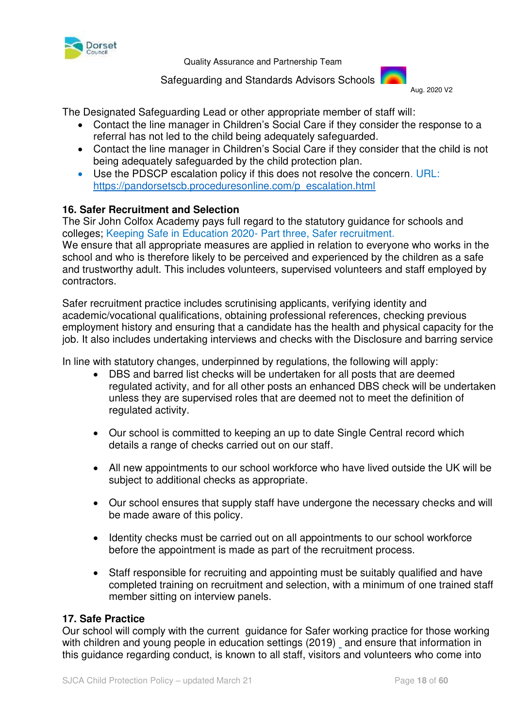

Safeguarding and Standards Advisors Schools



The Designated Safeguarding Lead or other appropriate member of staff will:

- Contact the line manager in Children's Social Care if they consider the response to a referral has not led to the child being adequately safeguarded.
- Contact the line manager in Children's Social Care if they consider that the child is not being adequately safeguarded by the child protection plan.
- Use the PDSCP escalation policy if this does not resolve the concern. URL: [https://pandorsetscb.proceduresonline.com/p\\_escalation.html](https://pandorsetscb.proceduresonline.com/p_escalation.html)

#### **16. Safer Recruitment and Selection**

The Sir John Colfox Academy pays full regard to the statutory guidance for schools and colleges; Keeping Safe in Education 2020- Part three, Safer recruitment.

We ensure that all appropriate measures are applied in relation to everyone who works in the school and who is therefore likely to be perceived and experienced by the children as a safe and trustworthy adult. This includes volunteers, supervised volunteers and staff employed by contractors.

Safer recruitment practice includes scrutinising applicants, verifying identity and academic/vocational qualifications, obtaining professional references, checking previous employment history and ensuring that a candidate has the health and physical capacity for the job. It also includes undertaking interviews and checks with the Disclosure and barring service

In line with statutory changes, underpinned by regulations, the following will apply:

- DBS and barred list checks will be undertaken for all posts that are deemed regulated activity, and for all other posts an enhanced DBS check will be undertaken unless they are supervised roles that are deemed not to meet the definition of regulated activity.
- Our school is committed to keeping an up to date Single Central record which details a range of checks carried out on our staff.
- All new appointments to our school workforce who have lived outside the UK will be subject to additional checks as appropriate.
- Our school ensures that supply staff have undergone the necessary checks and will be made aware of this policy.
- Identity checks must be carried out on all appointments to our school workforce before the appointment is made as part of the recruitment process.
- Staff responsible for recruiting and appointing must be suitably qualified and have completed training on recruitment and selection, with a minimum of one trained staff member sitting on interview panels.

#### **17. Safe Practice**

Our school will comply with the current [guidance for Safer working practice for those working](http://www.safeguardinginschools.co.uk/wp-content/uploads/2015/10/Guidance-for-Safer-Working-Practices-2015-final1.pdf)  [with children and young people in education settings \(2019\)](http://www.safeguardinginschools.co.uk/wp-content/uploads/2015/10/Guidance-for-Safer-Working-Practices-2015-final1.pdf) and ensure that information in this guidance regarding conduct, is known to all staff, visitors and volunteers who come into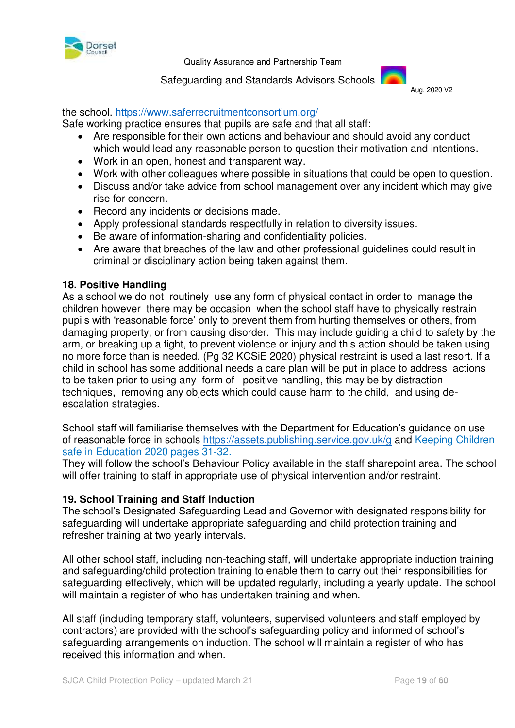

 Safeguarding and Standards Advisors Schools Aug. 2020 V2



#### the school.<https://www.saferrecruitmentconsortium.org/>

Safe working practice ensures that pupils are safe and that all staff:

- Are responsible for their own actions and behaviour and should avoid any conduct which would lead any reasonable person to question their motivation and intentions.
- Work in an open, honest and transparent way.
- Work with other colleagues where possible in situations that could be open to question.
- Discuss and/or take advice from school management over any incident which may give rise for concern.
- Record any incidents or decisions made.
- Apply professional standards respectfully in relation to diversity issues.
- Be aware of information-sharing and confidentiality policies.
- Are aware that breaches of the law and other professional guidelines could result in criminal or disciplinary action being taken against them.

#### **18. Positive Handling**

As a school we do not routinely use any form of physical contact in order to manage the children however there may be occasion when the school staff have to physically restrain pupils with 'reasonable force' only to prevent them from hurting themselves or others, from damaging property, or from causing disorder. This may include guiding a child to safety by the arm, or breaking up a fight, to prevent violence or injury and this action should be taken using no more force than is needed. (Pg 32 KCSiE 2020) physical restraint is used a last resort. If a child in school has some additional needs a care plan will be put in place to address actions to be taken prior to using any form of positive handling, this may be by distraction techniques, removing any objects which could cause harm to the child, and using deescalation strategies.

School staff will familiarise themselves with the Department for Education's guidance on use of reasonable force in schools<https://assets.publishing.service.gov.uk/g>and Keeping Children safe in Education 2020 pages 31-32.

They will follow the school's Behaviour Policy available in the staff sharepoint area. The school will offer training to staff in appropriate use of physical intervention and/or restraint.

#### **19. School Training and Staff Induction**

The school's Designated Safeguarding Lead and Governor with designated responsibility for safeguarding will undertake appropriate safeguarding and child protection training and refresher training at two yearly intervals.

All other school staff, including non-teaching staff, will undertake appropriate induction training and safeguarding/child protection training to enable them to carry out their responsibilities for safeguarding effectively, which will be updated regularly, including a yearly update. The school will maintain a register of who has undertaken training and when.

All staff (including temporary staff, volunteers, supervised volunteers and staff employed by contractors) are provided with the school's safeguarding policy and informed of school's safeguarding arrangements on induction. The school will maintain a register of who has received this information and when.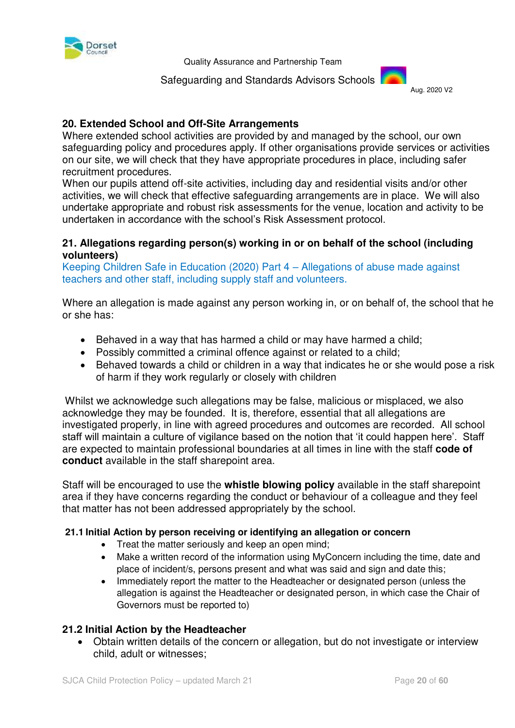

 Safeguarding and Standards Advisors Schools Aug. 2020 V2



# **20. Extended School and Off-Site Arrangements**

Where extended school activities are provided by and managed by the school, our own safeguarding policy and procedures apply. If other organisations provide services or activities on our site, we will check that they have appropriate procedures in place, including safer recruitment procedures.

When our pupils attend off-site activities, including day and residential visits and/or other activities, we will check that effective safeguarding arrangements are in place. We will also undertake appropriate and robust risk assessments for the venue, location and activity to be undertaken in accordance with the school's Risk Assessment protocol.

#### **21. Allegations regarding person(s) working in or on behalf of the school (including volunteers)**

Keeping Children Safe in Education (2020) Part 4 – Allegations of abuse made against teachers and other staff, including supply staff and volunteers.

Where an allegation is made against any person working in, or on behalf of, the school that he or she has:

- Behaved in a way that has harmed a child or may have harmed a child;
- Possibly committed a criminal offence against or related to a child;
- Behaved towards a child or children in a way that indicates he or she would pose a risk of harm if they work regularly or closely with children

 Whilst we acknowledge such allegations may be false, malicious or misplaced, we also acknowledge they may be founded. It is, therefore, essential that all allegations are investigated properly, in line with agreed procedures and outcomes are recorded. All school staff will maintain a culture of vigilance based on the notion that 'it could happen here'. Staff are expected to maintain professional boundaries at all times in line with the staff **code of conduct** available in the staff sharepoint area.

Staff will be encouraged to use the **whistle blowing policy** available in the staff sharepoint area if they have concerns regarding the conduct or behaviour of a colleague and they feel that matter has not been addressed appropriately by the school.

#### **21.1 Initial Action by person receiving or identifying an allegation or concern**

- Treat the matter seriously and keep an open mind;
- Make a written record of the information using MyConcern including the time, date and place of incident/s, persons present and what was said and sign and date this;
- Immediately report the matter to the Headteacher or designated person (unless the allegation is against the Headteacher or designated person, in which case the Chair of Governors must be reported to)

#### **21.2 Initial Action by the Headteacher**

 Obtain written details of the concern or allegation, but do not investigate or interview child, adult or witnesses;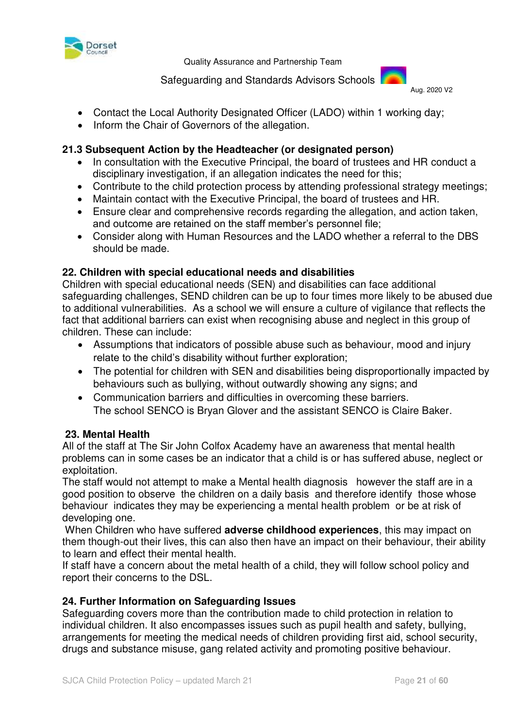

Safeguarding and Standards Advisors Schools



- Contact the Local Authority Designated Officer (LADO) within 1 working day;
- Inform the Chair of Governors of the allegation.

# **21.3 Subsequent Action by the Headteacher (or designated person)**

- In consultation with the Executive Principal, the board of trustees and HR conduct a disciplinary investigation, if an allegation indicates the need for this;
- Contribute to the child protection process by attending professional strategy meetings:
- Maintain contact with the Executive Principal, the board of trustees and HR.
- Ensure clear and comprehensive records regarding the allegation, and action taken, and outcome are retained on the staff member's personnel file;
- Consider along with Human Resources and the LADO whether a referral to the DBS should be made.

# **22. Children with special educational needs and disabilities**

Children with special educational needs (SEN) and disabilities can face additional safeguarding challenges, SEND children can be up to four times more likely to be abused due to additional vulnerabilities. As a school we will ensure a culture of vigilance that reflects the fact that additional barriers can exist when recognising abuse and neglect in this group of children. These can include:

- Assumptions that indicators of possible abuse such as behaviour, mood and injury relate to the child's disability without further exploration;
- The potential for children with SEN and disabilities being disproportionally impacted by behaviours such as bullying, without outwardly showing any signs; and
- Communication barriers and difficulties in overcoming these barriers. The school SENCO is Bryan Glover and the assistant SENCO is Claire Baker.

# **23. Mental Health**

All of the staff at The Sir John Colfox Academy have an awareness that mental health problems can in some cases be an indicator that a child is or has suffered abuse, neglect or exploitation.

The staff would not attempt to make a Mental health diagnosis however the staff are in a good position to observe the children on a daily basis and therefore identify those whose behaviour indicates they may be experiencing a mental health problem or be at risk of developing one.

 When Children who have suffered **adverse childhood experiences**, this may impact on them though-out their lives, this can also then have an impact on their behaviour, their ability to learn and effect their mental health.

If staff have a concern about the metal health of a child, they will follow school policy and report their concerns to the DSL.

# **24. Further Information on Safeguarding Issues**

Safeguarding covers more than the contribution made to child protection in relation to individual children. It also encompasses issues such as pupil health and safety, bullying, arrangements for meeting the medical needs of children providing first aid, school security, drugs and substance misuse, gang related activity and promoting positive behaviour.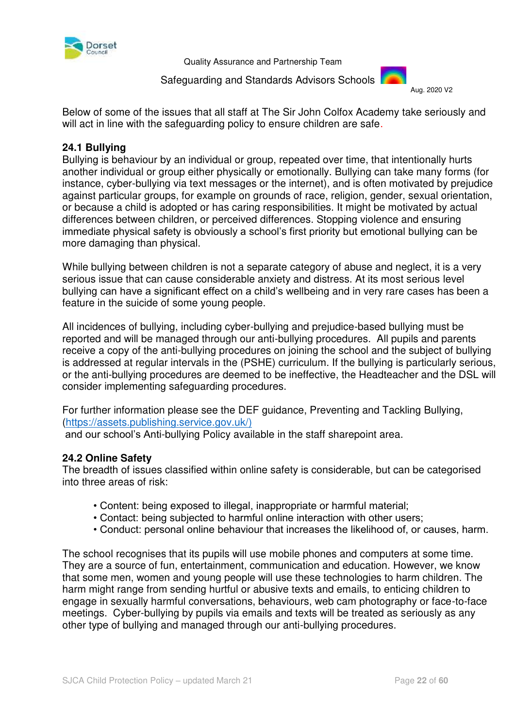

Safeguarding and Standards Advisors Schools



Below of some of the issues that all staff at The Sir John Colfox Academy take seriously and will act in line with the safeguarding policy to ensure children are safe.

#### **24.1 Bullying**

Bullying is behaviour by an individual or group, repeated over time, that intentionally hurts another individual or group either physically or emotionally. Bullying can take many forms (for instance, cyber-bullying via text messages or the internet), and is often motivated by prejudice against particular groups, for example on grounds of race, religion, gender, sexual orientation, or because a child is adopted or has caring responsibilities. It might be motivated by actual differences between children, or perceived differences. Stopping violence and ensuring immediate physical safety is obviously a school's first priority but emotional bullying can be more damaging than physical.

While bullying between children is not a separate category of abuse and neglect, it is a very serious issue that can cause considerable anxiety and distress. At its most serious level bullying can have a significant effect on a child's wellbeing and in very rare cases has been a feature in the suicide of some young people.

All incidences of bullying, including cyber-bullying and prejudice-based bullying must be reported and will be managed through our anti-bullying procedures. All pupils and parents receive a copy of the anti-bullying procedures on joining the school and the subject of bullying is addressed at regular intervals in the (PSHE) curriculum. If the bullying is particularly serious, or the anti-bullying procedures are deemed to be ineffective, the Headteacher and the DSL will consider implementing safeguarding procedures.

For further information please see the DEF guidance, Preventing and Tackling Bullying, [\(https://assets.publishing.service.gov.uk/\)](https://assets.publishing.service.gov.uk/)

and our school's Anti-bullying Policy available in the staff sharepoint area.

#### **24.2 Online Safety**

The breadth of issues classified within online safety is considerable, but can be categorised into three areas of risk:

- Content: being exposed to illegal, inappropriate or harmful material;
- Contact: being subjected to harmful online interaction with other users;
- Conduct: personal online behaviour that increases the likelihood of, or causes, harm.

The school recognises that its pupils will use mobile phones and computers at some time. They are a source of fun, entertainment, communication and education. However, we know that some men, women and young people will use these technologies to harm children. The harm might range from sending hurtful or abusive texts and emails, to enticing children to engage in sexually harmful conversations, behaviours, web cam photography or face-to-face meetings. Cyber-bullying by pupils via emails and texts will be treated as seriously as any other type of bullying and managed through our anti-bullying procedures.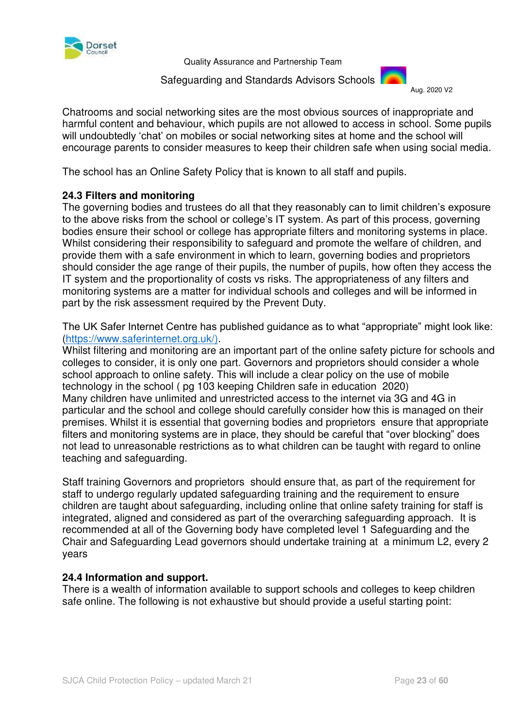

 Safeguarding and Standards Advisors Schools Aug. 2020 V2



Chatrooms and social networking sites are the most obvious sources of inappropriate and harmful content and behaviour, which pupils are not allowed to access in school. Some pupils will undoubtedly 'chat' on mobiles or social networking sites at home and the school will encourage parents to consider measures to keep their children safe when using social media.

The school has an Online Safety Policy that is known to all staff and pupils.

# **24.3 Filters and monitoring**

The governing bodies and trustees do all that they reasonably can to limit children's exposure to the above risks from the school or college's IT system. As part of this process, governing bodies ensure their school or college has appropriate filters and monitoring systems in place. Whilst considering their responsibility to safeguard and promote the welfare of children, and provide them with a safe environment in which to learn, governing bodies and proprietors should consider the age range of their pupils, the number of pupils, how often they access the IT system and the proportionality of costs vs risks. The appropriateness of any filters and monitoring systems are a matter for individual schools and colleges and will be informed in part by the risk assessment required by the Prevent Duty.

The UK Safer Internet Centre has published guidance as to what "appropriate" might look like: [\(https://www.saferinternet.org.uk/\)](https://www.saferinternet.org.uk/).

Whilst filtering and monitoring are an important part of the online safety picture for schools and colleges to consider, it is only one part. Governors and proprietors should consider a whole school approach to online safety. This will include a clear policy on the use of mobile technology in the school ( pg 103 keeping Children safe in education 2020) Many children have unlimited and unrestricted access to the internet via 3G and 4G in particular and the school and college should carefully consider how this is managed on their premises. Whilst it is essential that governing bodies and proprietors ensure that appropriate filters and monitoring systems are in place, they should be careful that "over blocking" does not lead to unreasonable restrictions as to what children can be taught with regard to online teaching and safeguarding.

Staff training Governors and proprietors should ensure that, as part of the requirement for staff to undergo regularly updated safeguarding training and the requirement to ensure children are taught about safeguarding, including online that online safety training for staff is integrated, aligned and considered as part of the overarching safeguarding approach. It is recommended at all of the Governing body have completed level 1 Safeguarding and the Chair and Safeguarding Lead governors should undertake training at a minimum L2, every 2 years

# **24.4 Information and support.**

There is a wealth of information available to support schools and colleges to keep children safe online. The following is not exhaustive but should provide a useful starting point: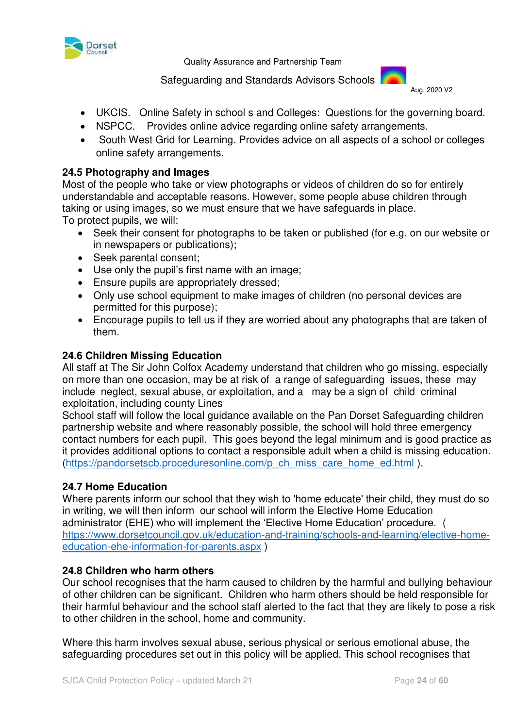

Safeguarding and Standards Advisors Schools



- UKCIS. Online Safety in school s and Colleges: Questions for the governing board.
- NSPCC. Provides online advice regarding online safety arrangements.
- South West Grid for Learning. Provides advice on all aspects of a school or colleges online safety arrangements.

### **24.5 Photography and Images**

Most of the people who take or view photographs or videos of children do so for entirely understandable and acceptable reasons. However, some people abuse children through taking or using images, so we must ensure that we have safeguards in place. To protect pupils, we will:

- Seek their consent for photographs to be taken or published (for e.g. on our website or in newspapers or publications);
- Seek parental consent;
- Use only the pupil's first name with an image;
- Ensure pupils are appropriately dressed;
- Only use school equipment to make images of children (no personal devices are permitted for this purpose);
- Encourage pupils to tell us if they are worried about any photographs that are taken of them.

#### **24.6 Children Missing Education**

All staff at The Sir John Colfox Academy understand that children who go missing, especially on more than one occasion, may be at risk of a range of safeguarding issues, these may include neglect, sexual abuse, or exploitation, and a may be a sign of child criminal exploitation, including county Lines

School staff will follow the local guidance available on the Pan Dorset Safeguarding children partnership website and where reasonably possible, the school will hold three emergency contact numbers for each pupil. This goes beyond the legal minimum and is good practice as it provides additional options to contact a responsible adult when a child is missing education. [\(https://pandorsetscb.proceduresonline.com/p\\_ch\\_miss\\_care\\_home\\_ed.html](https://pandorsetscb.proceduresonline.com/p_ch_miss_care_home_ed.html) ).

#### **24.7 Home Education**

Where parents inform our school that they wish to 'home educate' their child, they must do so in writing, we will then inform our school will inform the Elective Home Education administrator (EHE) who will implement the 'Elective Home Education' procedure. ( [https://www.dorsetcouncil.gov.uk/education-and-training/schools-and-learning/elective-home](https://www.dorsetcouncil.gov.uk/education-and-training/schools-and-learning/elective-home-education-ehe-information-for-parents.aspx)[education-ehe-information-for-parents.aspx](https://www.dorsetcouncil.gov.uk/education-and-training/schools-and-learning/elective-home-education-ehe-information-for-parents.aspx) )

#### **24.8 Children who harm others**

Our school recognises that the harm caused to children by the harmful and bullying behaviour of other children can be significant. Children who harm others should be held responsible for their harmful behaviour and the school staff alerted to the fact that they are likely to pose a risk to other children in the school, home and community.

Where this harm involves sexual abuse, serious physical or serious emotional abuse, the safeguarding procedures set out in this policy will be applied. This school recognises that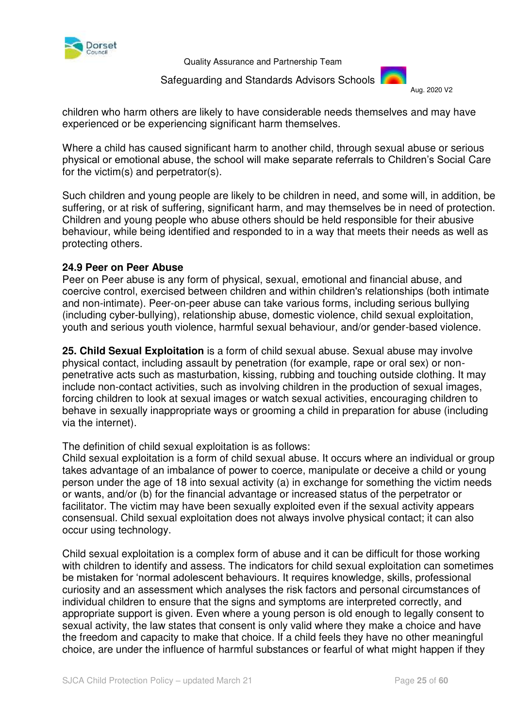

 Safeguarding and Standards Advisors Schools Aug. 2020 V2



children who harm others are likely to have considerable needs themselves and may have experienced or be experiencing significant harm themselves.

Where a child has caused significant harm to another child, through sexual abuse or serious physical or emotional abuse, the school will make separate referrals to Children's Social Care for the victim(s) and perpetrator(s).

Such children and young people are likely to be children in need, and some will, in addition, be suffering, or at risk of suffering, significant harm, and may themselves be in need of protection. Children and young people who abuse others should be held responsible for their abusive behaviour, while being identified and responded to in a way that meets their needs as well as protecting others.

#### **24.9 Peer on Peer Abuse**

Peer on Peer abuse is any form of physical, sexual, emotional and financial abuse, and coercive control, exercised between children and within children's relationships (both intimate and non-intimate). Peer-on-peer abuse can take various forms, including serious bullying (including cyber-bullying), relationship abuse, domestic violence, child sexual exploitation, youth and serious youth violence, harmful sexual behaviour, and/or gender-based violence.

**25. Child Sexual Exploitation** is a form of child sexual abuse. Sexual abuse may involve physical contact, including assault by penetration (for example, rape or oral sex) or nonpenetrative acts such as masturbation, kissing, rubbing and touching outside clothing. It may include non-contact activities, such as involving children in the production of sexual images, forcing children to look at sexual images or watch sexual activities, encouraging children to behave in sexually inappropriate ways or grooming a child in preparation for abuse (including via the internet).

The definition of child sexual exploitation is as follows:

Child sexual exploitation is a form of child sexual abuse. It occurs where an individual or group takes advantage of an imbalance of power to coerce, manipulate or deceive a child or young person under the age of 18 into sexual activity (a) in exchange for something the victim needs or wants, and/or (b) for the financial advantage or increased status of the perpetrator or facilitator. The victim may have been sexually exploited even if the sexual activity appears consensual. Child sexual exploitation does not always involve physical contact; it can also occur using technology.

Child sexual exploitation is a complex form of abuse and it can be difficult for those working with children to identify and assess. The indicators for child sexual exploitation can sometimes be mistaken for 'normal adolescent behaviours. It requires knowledge, skills, professional curiosity and an assessment which analyses the risk factors and personal circumstances of individual children to ensure that the signs and symptoms are interpreted correctly, and appropriate support is given. Even where a young person is old enough to legally consent to sexual activity, the law states that consent is only valid where they make a choice and have the freedom and capacity to make that choice. If a child feels they have no other meaningful choice, are under the influence of harmful substances or fearful of what might happen if they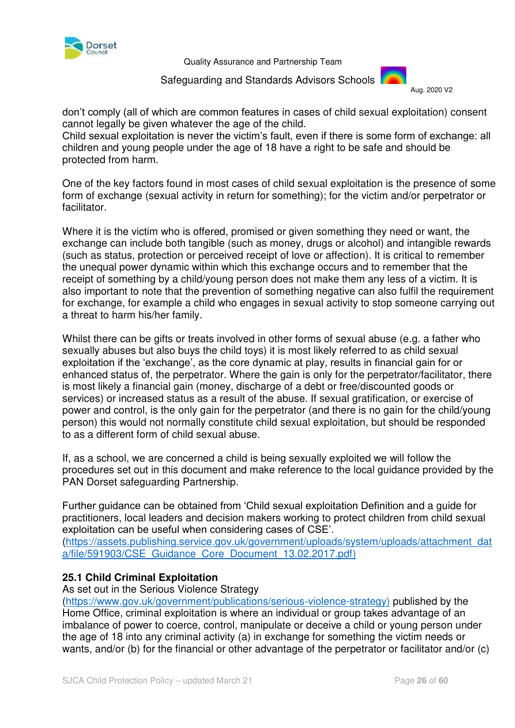

 Safeguarding and Standards Advisors Schools Aug. 2020 V2



don't comply (all of which are common features in cases of child sexual exploitation) consent cannot legally be given whatever the age of the child.

Child sexual exploitation is never the victim's fault, even if there is some form of exchange: all children and young people under the age of 18 have a right to be safe and should be protected from harm.

One of the key factors found in most cases of child sexual exploitation is the presence of some form of exchange (sexual activity in return for something); for the victim and/or perpetrator or facilitator.

Where it is the victim who is offered, promised or given something they need or want, the exchange can include both tangible (such as money, drugs or alcohol) and intangible rewards (such as status, protection or perceived receipt of love or affection). It is critical to remember the unequal power dynamic within which this exchange occurs and to remember that the receipt of something by a child/young person does not make them any less of a victim. It is also important to note that the prevention of something negative can also fulfil the requirement for exchange, for example a child who engages in sexual activity to stop someone carrying out a threat to harm his/her family.

Whilst there can be gifts or treats involved in other forms of sexual abuse (e.g. a father who sexually abuses but also buys the child toys) it is most likely referred to as child sexual exploitation if the 'exchange', as the core dynamic at play, results in financial gain for or enhanced status of, the perpetrator. Where the gain is only for the perpetrator/facilitator, there is most likely a financial gain (money, discharge of a debt or free/discounted goods or services) or increased status as a result of the abuse. If sexual gratification, or exercise of power and control, is the only gain for the perpetrator (and there is no gain for the child/young person) this would not normally constitute child sexual exploitation, but should be responded to as a different form of child sexual abuse.

If, as a school, we are concerned a child is being sexually exploited we will follow the procedures set out in this document and make reference to the local guidance provided by the PAN Dorset safeguarding Partnership.

Further guidance can be obtained from 'Child sexual exploitation Definition and a guide for practitioners, local leaders and decision makers working to protect children from child sexual exploitation can be useful when considering cases of CSE'. [\(https://assets.publishing.service.gov.uk/government/uploads/system/uploads/attachment\\_dat](https://assets.publishing.service.gov.uk/government/uploads/system/uploads/attachment_data/file/591903/CSE_Guidance_Core_Document_13.02.2017.pdf) [a/file/591903/CSE\\_Guidance\\_Core\\_Document\\_13.02.2017.pdf\)](https://assets.publishing.service.gov.uk/government/uploads/system/uploads/attachment_data/file/591903/CSE_Guidance_Core_Document_13.02.2017.pdf)

# **25.1 Child Criminal Exploitation**

As set out in the Serious Violence Strategy

[\(https://www.gov.uk/government/publications/serious-violence-strategy\)](https://www.gov.uk/government/publications/serious-violence-strategy) published by the Home Office, criminal exploitation is where an individual or group takes advantage of an imbalance of power to coerce, control, manipulate or deceive a child or young person under the age of 18 into any criminal activity (a) in exchange for something the victim needs or wants, and/or (b) for the financial or other advantage of the perpetrator or facilitator and/or (c)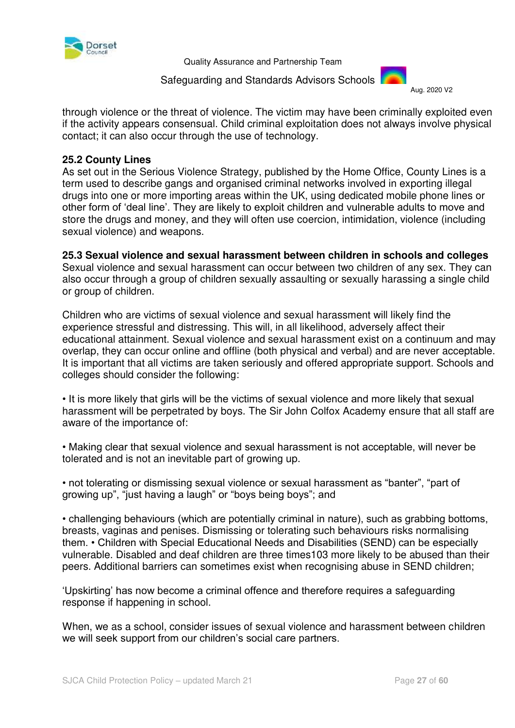

Safeguarding and Standards Advisors Schools



through violence or the threat of violence. The victim may have been criminally exploited even if the activity appears consensual. Child criminal exploitation does not always involve physical contact; it can also occur through the use of technology.

#### **25.2 County Lines**

As set out in the Serious Violence Strategy, published by the Home Office, County Lines is a term used to describe gangs and organised criminal networks involved in exporting illegal drugs into one or more importing areas within the UK, using dedicated mobile phone lines or other form of 'deal line'. They are likely to exploit children and vulnerable adults to move and store the drugs and money, and they will often use coercion, intimidation, violence (including sexual violence) and weapons.

# **25.3 Sexual violence and sexual harassment between children in schools and colleges**

Sexual violence and sexual harassment can occur between two children of any sex. They can also occur through a group of children sexually assaulting or sexually harassing a single child or group of children.

Children who are victims of sexual violence and sexual harassment will likely find the experience stressful and distressing. This will, in all likelihood, adversely affect their educational attainment. Sexual violence and sexual harassment exist on a continuum and may overlap, they can occur online and offline (both physical and verbal) and are never acceptable. It is important that all victims are taken seriously and offered appropriate support. Schools and colleges should consider the following:

• It is more likely that girls will be the victims of sexual violence and more likely that sexual harassment will be perpetrated by boys. The Sir John Colfox Academy ensure that all staff are aware of the importance of:

• Making clear that sexual violence and sexual harassment is not acceptable, will never be tolerated and is not an inevitable part of growing up.

• not tolerating or dismissing sexual violence or sexual harassment as "banter", "part of growing up", "just having a laugh" or "boys being boys"; and

• challenging behaviours (which are potentially criminal in nature), such as grabbing bottoms, breasts, vaginas and penises. Dismissing or tolerating such behaviours risks normalising them. • Children with Special Educational Needs and Disabilities (SEND) can be especially vulnerable. Disabled and deaf children are three times103 more likely to be abused than their peers. Additional barriers can sometimes exist when recognising abuse in SEND children;

'Upskirting' has now become a criminal offence and therefore requires a safeguarding response if happening in school.

When, we as a school, consider issues of sexual violence and harassment between children we will seek support from our children's social care partners.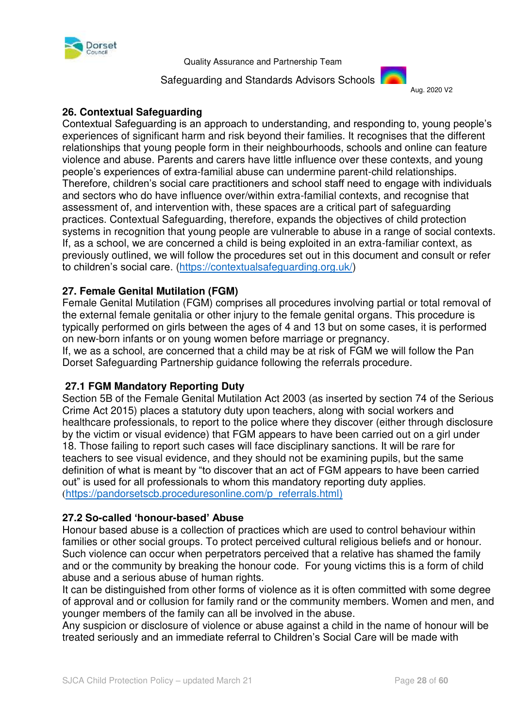

Safeguarding and Standards Advisors Schools



# **26. Contextual Safeguarding**

Contextual Safeguarding is an approach to understanding, and responding to, young people's experiences of significant harm and risk beyond their families. It recognises that the different relationships that young people form in their neighbourhoods, schools and online can feature violence and abuse. Parents and carers have little influence over these contexts, and young people's experiences of extra-familial abuse can undermine parent-child relationships. Therefore, children's social care practitioners and school staff need to engage with individuals and sectors who do have influence over/within extra-familial contexts, and recognise that assessment of, and intervention with, these spaces are a critical part of safeguarding practices. Contextual Safeguarding, therefore, expands the objectives of child protection systems in recognition that young people are vulnerable to abuse in a range of social contexts. If, as a school, we are concerned a child is being exploited in an extra-familiar context, as previously outlined, we will follow the procedures set out in this document and consult or refer to children's social care. [\(https://contextualsafeguarding.org.uk/\)](https://contextualsafeguarding.org.uk/)

# **27. Female Genital Mutilation (FGM)**

Female Genital Mutilation (FGM) comprises all procedures involving partial or total removal of the external female genitalia or other injury to the female genital organs. This procedure is typically performed on girls between the ages of 4 and 13 but on some cases, it is performed on new-born infants or on young women before marriage or pregnancy.

If, we as a school, are concerned that a child may be at risk of FGM we will follow the Pan Dorset Safeguarding Partnership guidance following the referrals procedure.

# **27.1 FGM Mandatory Reporting Duty**

Section 5B of the Female Genital Mutilation Act 2003 (as inserted by section 74 of the Serious Crime Act 2015) places a statutory duty upon teachers, along with social workers and healthcare professionals, to report to the police where they discover (either through disclosure by the victim or visual evidence) that FGM appears to have been carried out on a girl under 18. Those failing to report such cases will face disciplinary sanctions. It will be rare for teachers to see visual evidence, and they should not be examining pupils, but the same definition of what is meant by "to discover that an act of FGM appears to have been carried out" is used for all professionals to whom this mandatory reporting duty applies. ([https://pandorsetscb.proceduresonline.com/p\\_referrals.html\)](https://pandorsetscb.proceduresonline.com/p_referrals.html)

#### **27.2 So-called 'honour-based' Abuse**

Honour based abuse is a collection of practices which are used to control behaviour within families or other social groups. To protect perceived cultural religious beliefs and or honour. Such violence can occur when perpetrators perceived that a relative has shamed the family and or the community by breaking the honour code. For young victims this is a form of child abuse and a serious abuse of human rights.

It can be distinguished from other forms of violence as it is often committed with some degree of approval and or collusion for family rand or the community members. Women and men, and younger members of the family can all be involved in the abuse.

Any suspicion or disclosure of violence or abuse against a child in the name of honour will be treated seriously and an immediate referral to Children's Social Care will be made with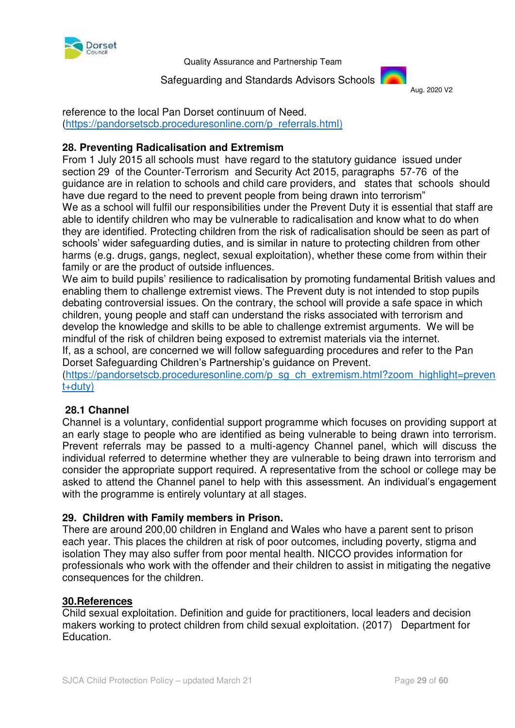

Safeguarding and Standards Advisors Schools



reference to the local Pan Dorset continuum of Need. [\(https://pandorsetscb.proceduresonline.com/p\\_referrals.html\)](https://pandorsetscb.proceduresonline.com/p_referrals.html)

# **28. Preventing Radicalisation and Extremism**

From 1 July 2015 all schools must have regard to the statutory guidance issued under section 29 of the Counter-Terrorism and Security Act 2015, paragraphs 57-76 of the guidance are in relation to schools and child care providers, and states that schools should have due regard to the need to prevent people from being drawn into terrorism" We as a school will fulfil our responsibilities under the Prevent Duty it is essential that staff are able to identify children who may be vulnerable to radicalisation and know what to do when they are identified. Protecting children from the risk of radicalisation should be seen as part of schools' wider safeguarding duties, and is similar in nature to protecting children from other harms (e.g. drugs, gangs, neglect, sexual exploitation), whether these come from within their family or are the product of outside influences.

We aim to build pupils' resilience to radicalisation by promoting fundamental British values and enabling them to challenge extremist views. The Prevent duty is not intended to stop pupils debating controversial issues. On the contrary, the school will provide a safe space in which children, young people and staff can understand the risks associated with terrorism and develop the knowledge and skills to be able to challenge extremist arguments. We will be mindful of the risk of children being exposed to extremist materials via the internet.

If, as a school, are concerned we will follow safeguarding procedures and refer to the Pan Dorset Safeguarding Children's Partnership's guidance on Prevent.

[\(https://pandorsetscb.proceduresonline.com/p\\_sg\\_ch\\_extremism.html?zoom\\_highlight=preven](https://pandorsetscb.proceduresonline.com/p_sg_ch_extremism.html?zoom_highlight=prevent+duty) [t+duty\)](https://pandorsetscb.proceduresonline.com/p_sg_ch_extremism.html?zoom_highlight=prevent+duty)

# **28.1 Channel**

Channel is a voluntary, confidential support programme which focuses on providing support at an early stage to people who are identified as being vulnerable to being drawn into terrorism. Prevent referrals may be passed to a multi-agency Channel panel, which will discuss the individual referred to determine whether they are vulnerable to being drawn into terrorism and consider the appropriate support required. A representative from the school or college may be asked to attend the Channel panel to help with this assessment. An individual's engagement with the programme is entirely voluntary at all stages.

# **29. Children with Family members in Prison.**

There are around 200,00 children in England and Wales who have a parent sent to prison each year. This places the children at risk of poor outcomes, including poverty, stigma and isolation They may also suffer from poor mental health. NICCO provides information for professionals who work with the offender and their children to assist in mitigating the negative consequences for the children.

#### **30.References**

Child sexual exploitation. Definition and guide for practitioners, local leaders and decision makers working to protect children from child sexual exploitation. (2017) Department for Education.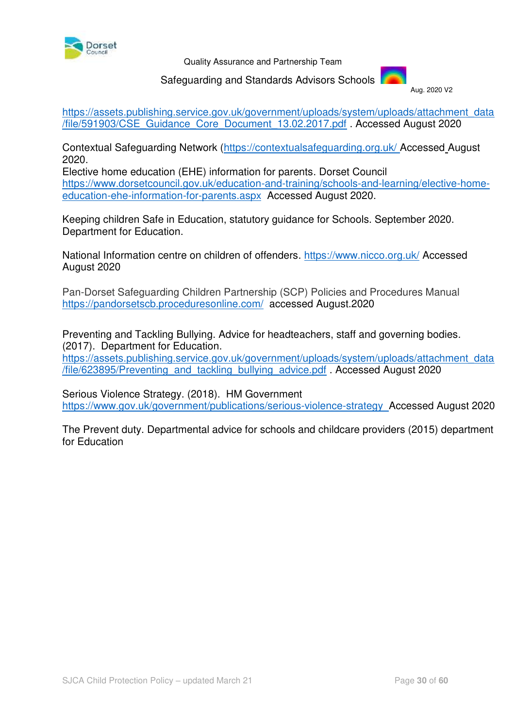

#### Safeguarding and Standards Advisors Schools

Aug. 2020 V2

[https://assets.publishing.service.gov.uk/government/uploads/system/uploads/attachment\\_data](https://assets.publishing.service.gov.uk/government/uploads/system/uploads/attachment_data/file/591903/CSE_Guidance_Core_Document_13.02.2017.pdf) [/file/591903/CSE\\_Guidance\\_Core\\_Document\\_13.02.2017.pdf](https://assets.publishing.service.gov.uk/government/uploads/system/uploads/attachment_data/file/591903/CSE_Guidance_Core_Document_13.02.2017.pdf) . Accessed August 2020

Contextual Safeguarding Network [\(https://contextualsafeguarding.org.uk/](https://contextualsafeguarding.org.uk/) Accessed August 2020.

Elective home education (EHE) information for parents. Dorset Council [https://www.dorsetcouncil.gov.uk/education-and-training/schools-and-learning/elective-home](https://www.dorsetcouncil.gov.uk/education-and-training/schools-and-learning/elective-home-education-ehe-information-for-parents.aspx)[education-ehe-information-for-parents.aspx](https://www.dorsetcouncil.gov.uk/education-and-training/schools-and-learning/elective-home-education-ehe-information-for-parents.aspx)Accessed August 2020.

Keeping children Safe in Education, statutory guidance for Schools. September 2020. Department for Education.

National Information centre on children of offenders.<https://www.nicco.org.uk/>Accessed August 2020

Pan-Dorset Safeguarding Children Partnership (SCP) Policies and Procedures Manual <https://pandorsetscb.proceduresonline.com/>accessed August.2020

Preventing and Tackling Bullying. Advice for headteachers, staff and governing bodies. (2017). Department for Education.

[https://assets.publishing.service.gov.uk/government/uploads/system/uploads/attachment\\_data](https://assets.publishing.service.gov.uk/government/uploads/system/uploads/attachment_data/file/623895/Preventing_and_tackling_bullying_advice.pdf) [/file/623895/Preventing\\_and\\_tackling\\_bullying\\_advice.pdf](https://assets.publishing.service.gov.uk/government/uploads/system/uploads/attachment_data/file/623895/Preventing_and_tackling_bullying_advice.pdf) . Accessed August 2020

Serious Violence Strategy. (2018). HM Government <https://www.gov.uk/government/publications/serious-violence-strategy>Accessed August 2020

The Prevent duty. Departmental advice for schools and childcare providers (2015) department for Education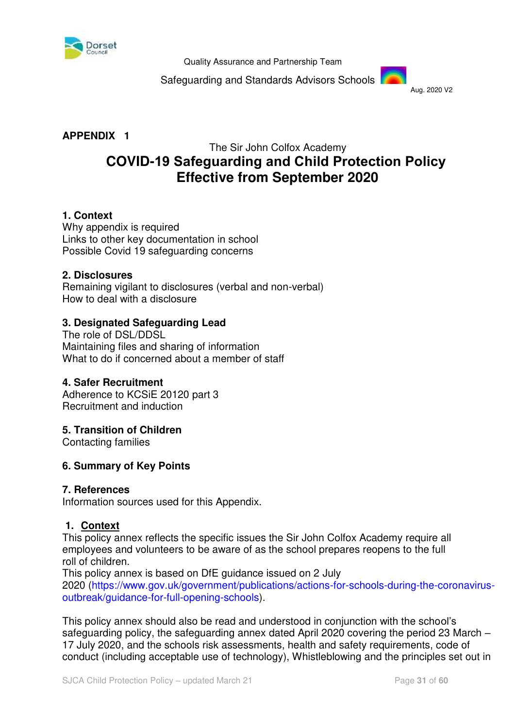

Safeguarding and Standards Advisors Schools



# **APPENDIX 1**

# The Sir John Colfox Academy **COVID-19 Safeguarding and Child Protection Policy  Effective from September 2020**

#### **1. Context**

Why appendix is required Links to other key documentation in school Possible Covid 19 safeguarding concerns

#### **2. Disclosures**

Remaining vigilant to disclosures (verbal and non-verbal) How to deal with a disclosure 

#### **3. Designated Safeguarding Lead**

The role of DSL/DDSL Maintaining files and sharing of information What to do if concerned about a member of staff

#### **4. Safer Recruitment**

Adherence to KCSiE 20120 part 3 Recruitment and induction

#### **5. Transition of Children**

Contacting families

#### **6. Summary of Key Points**

#### **7. References**

Information sources used for this Appendix.

#### **1. Context**

This policy annex reflects the specific issues the Sir John Colfox Academy require all employees and volunteers to be aware of as the school prepares reopens to the full roll of children.

This policy annex is based on DfE guidance issued on 2 July 2020 [\(https://www.gov.uk/government/publications/actions-for-schools-during-the-coronavirus](https://www.gov.uk/government/publications/actions-for-schools-during-the-coronavirus-outbreak/guidance-for-full-opening-schools)[outbreak/guidance-for-full-opening-schools\)](https://www.gov.uk/government/publications/actions-for-schools-during-the-coronavirus-outbreak/guidance-for-full-opening-schools).

This policy annex should also be read and understood in conjunction with the school's safeguarding policy, the safeguarding annex dated April 2020 covering the period 23 March – 17 July 2020, and the schools risk assessments, health and safety requirements, code of conduct (including acceptable use of technology), Whistleblowing and the principles set out in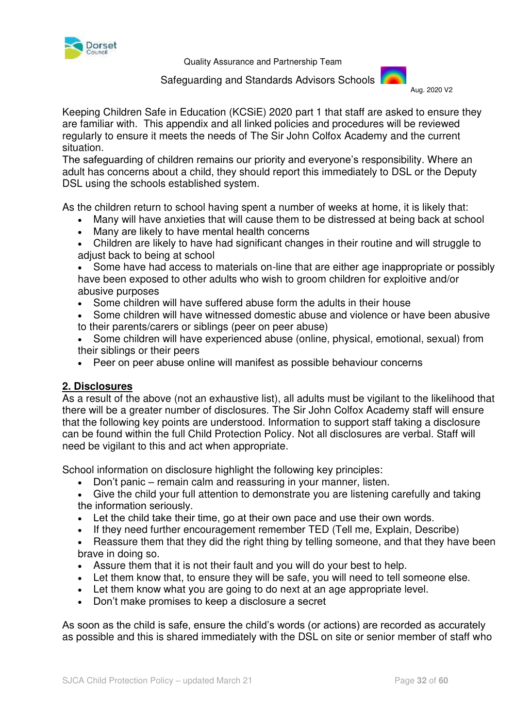

Safeguarding and Standards Advisors Schools



Keeping Children Safe in Education (KCSiE) 2020 part 1 that staff are asked to ensure they are familiar with. This appendix and all linked policies and procedures will be reviewed regularly to ensure it meets the needs of The Sir John Colfox Academy and the current situation.

The safeguarding of children remains our priority and everyone's responsibility. Where an adult has concerns about a child, they should report this immediately to DSL or the Deputy DSL using the schools established system.

As the children return to school having spent a number of weeks at home, it is likely that:

- Many will have anxieties that will cause them to be distressed at being back at school
- Many are likely to have mental health concerns
- Children are likely to have had significant changes in their routine and will struggle to adjust back to being at school
- Some have had access to materials on-line that are either age inappropriate or possibly have been exposed to other adults who wish to groom children for exploitive and/or abusive purposes
- Some children will have suffered abuse form the adults in their house
- Some children will have witnessed domestic abuse and violence or have been abusive to their parents/carers or siblings (peer on peer abuse)
- Some children will have experienced abuse (online, physical, emotional, sexual) from their siblings or their peers
- Peer on peer abuse online will manifest as possible behaviour concerns

# **2. Disclosures**

As a result of the above (not an exhaustive list), all adults must be vigilant to the likelihood that there will be a greater number of disclosures. The Sir John Colfox Academy staff will ensure that the following key points are understood. Information to support staff taking a disclosure can be found within the full Child Protection Policy. Not all disclosures are verbal. Staff will need be vigilant to this and act when appropriate.

School information on disclosure highlight the following key principles:

- Don't panic remain calm and reassuring in your manner, listen.
- Give the child your full attention to demonstrate you are listening carefully and taking the information seriously.
- Let the child take their time, go at their own pace and use their own words.
- If they need further encouragement remember TED (Tell me, Explain, Describe)
- Reassure them that they did the right thing by telling someone, and that they have been brave in doing so.
- Assure them that it is not their fault and you will do your best to help.
- Let them know that, to ensure they will be safe, you will need to tell someone else.
- Let them know what you are going to do next at an age appropriate level.
- Don't make promises to keep a disclosure a secret

As soon as the child is safe, ensure the child's words (or actions) are recorded as accurately as possible and this is shared immediately with the DSL on site or senior member of staff who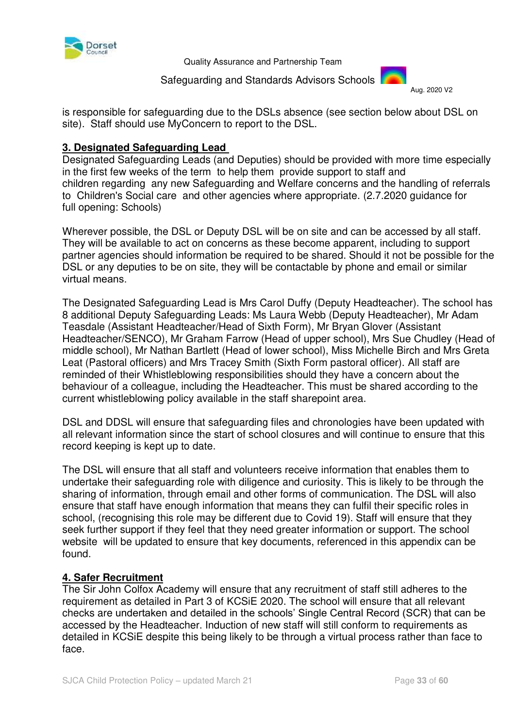

#### Safeguarding and Standards Advisors Schools

Aug. 2020 V2

is responsible for safeguarding due to the DSLs absence (see section below about DSL on site). Staff should use MyConcern to report to the DSL.

#### **3. Designated Safeguarding Lead**

Designated Safeguarding Leads (and Deputies) should be provided with more time especially in the first few weeks of the term to help them provide support to staff and children regarding any new Safeguarding and Welfare concerns and the handling of referrals to Children's Social care and other agencies where appropriate. (2.7.2020 guidance for full opening: Schools)

Wherever possible, the DSL or Deputy DSL will be on site and can be accessed by all staff. They will be available to act on concerns as these become apparent, including to support partner agencies should information be required to be shared. Should it not be possible for the DSL or any deputies to be on site, they will be contactable by phone and email or similar virtual means. 

The Designated Safeguarding Lead is Mrs Carol Duffy (Deputy Headteacher). The school has 8 additional Deputy Safeguarding Leads: Ms Laura Webb (Deputy Headteacher), Mr Adam Teasdale (Assistant Headteacher/Head of Sixth Form), Mr Bryan Glover (Assistant Headteacher/SENCO), Mr Graham Farrow (Head of upper school), Mrs Sue Chudley (Head of middle school), Mr Nathan Bartlett (Head of lower school), Miss Michelle Birch and Mrs Greta Leat (Pastoral officers) and Mrs Tracey Smith (Sixth Form pastoral officer). All staff are reminded of their Whistleblowing responsibilities should they have a concern about the behaviour of a colleague, including the Headteacher. This must be shared according to the current whistleblowing policy available in the staff sharepoint area.

DSL and DDSL will ensure that safeguarding files and chronologies have been updated with all relevant information since the start of school closures and will continue to ensure that this record keeping is kept up to date.

The DSL will ensure that all staff and volunteers receive information that enables them to undertake their safeguarding role with diligence and curiosity. This is likely to be through the sharing of information, through email and other forms of communication. The DSL will also ensure that staff have enough information that means they can fulfil their specific roles in school, (recognising this role may be different due to Covid 19). Staff will ensure that they seek further support if they feel that they need greater information or support. The school website will be updated to ensure that key documents, referenced in this appendix can be found.

# **4. Safer Recruitment**

The Sir John Colfox Academy will ensure that any recruitment of staff still adheres to the requirement as detailed in Part 3 of KCSiE 2020. The school will ensure that all relevant checks are undertaken and detailed in the schools' Single Central Record (SCR) that can be accessed by the Headteacher. Induction of new staff will still conform to requirements as detailed in KCSiE despite this being likely to be through a virtual process rather than face to face.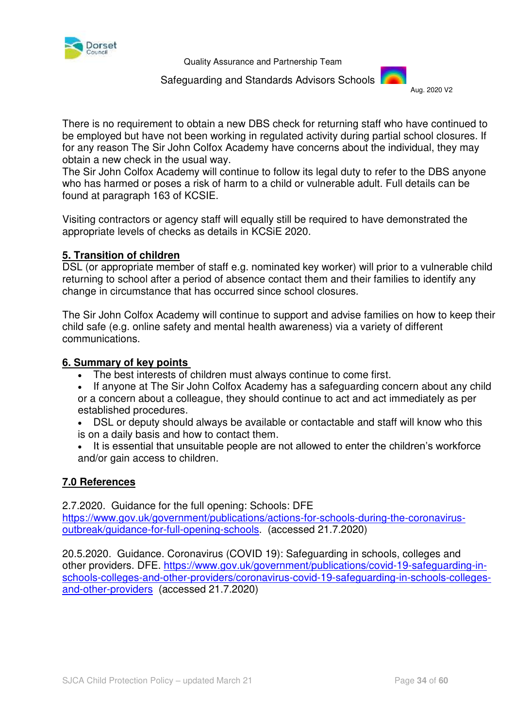

#### Safeguarding and Standards Advisors Schools Aug. 2020 V2



There is no requirement to obtain a new DBS check for returning staff who have continued to be employed but have not been working in regulated activity during partial school closures. If for any reason The Sir John Colfox Academy have concerns about the individual, they may obtain a new check in the usual way.

The Sir John Colfox Academy will continue to follow its legal duty to refer to the DBS anyone who has harmed or poses a risk of harm to a child or vulnerable adult. Full details can be found at paragraph 163 of KCSIE.

Visiting contractors or agency staff will equally still be required to have demonstrated the appropriate levels of checks as details in KCSiE 2020.

#### **5. Transition of children**

DSL (or appropriate member of staff e.g. nominated key worker) will prior to a vulnerable child returning to school after a period of absence contact them and their families to identify any change in circumstance that has occurred since school closures.

The Sir John Colfox Academy will continue to support and advise families on how to keep their child safe (e.g. online safety and mental health awareness) via a variety of different communications.

#### **6. Summary of key points**

- The best interests of children must always continue to come first.
- If anyone at The Sir John Colfox Academy has a safeguarding concern about any child or a concern about a colleague, they should continue to act and act immediately as per established procedures.
- DSL or deputy should always be available or contactable and staff will know who this is on a daily basis and how to contact them.
- It is essential that unsuitable people are not allowed to enter the children's workforce and/or gain access to children.

#### **7.0 References**

2.7.2020. Guidance for the full opening: Schools: DFE

[https://www.gov.uk/government/publications/actions-for-schools-during-the-coronavirus](https://www.gov.uk/government/publications/actions-for-schools-during-the-coronavirus-outbreak/guidance-for-full-opening-schools)[outbreak/guidance-for-full-opening-schools.](https://www.gov.uk/government/publications/actions-for-schools-during-the-coronavirus-outbreak/guidance-for-full-opening-schools) (accessed 21.7.2020)

20.5.2020. Guidance. Coronavirus (COVID 19): Safeguarding in schools, colleges and other providers. DFE. [https://www.gov.uk/government/publications/covid-19-safeguarding-in](https://www.gov.uk/government/publications/covid-19-safeguarding-in-schools-colleges-and-other-providers/coronavirus-covid-19-safeguarding-in-schools-colleges-and-other-providers)[schools-colleges-and-other-providers/coronavirus-covid-19-safeguarding-in-schools-colleges](https://www.gov.uk/government/publications/covid-19-safeguarding-in-schools-colleges-and-other-providers/coronavirus-covid-19-safeguarding-in-schools-colleges-and-other-providers)[and-other-providers](https://www.gov.uk/government/publications/covid-19-safeguarding-in-schools-colleges-and-other-providers/coronavirus-covid-19-safeguarding-in-schools-colleges-and-other-providers) (accessed 21.7.2020)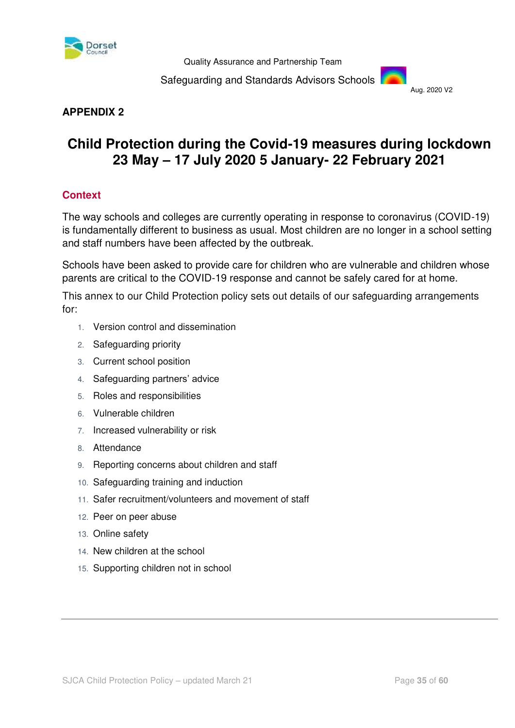

Safeguarding and Standards Advisors Schools



# **APPENDIX 2**

# **Child Protection during the Covid-19 measures during lockdown 23 May – 17 July 2020 5 January- 22 February 2021**

# **Context**

The way schools and colleges are currently operating in response to coronavirus (COVID-19) is fundamentally different to business as usual. Most children are no longer in a school setting and staff numbers have been affected by the outbreak.

Schools have been asked to provide care for children who are vulnerable and children whose parents are critical to the COVID-19 response and cannot be safely cared for at home.

This annex to our Child Protection policy sets out details of our safeguarding arrangements for:

- 1. Version control and dissemination
- 2. Safeguarding priority
- 3. Current school position
- 4. Safeguarding partners' advice
- 5. Roles and responsibilities
- 6. Vulnerable children
- 7. Increased vulnerability or risk
- 8. Attendance
- 9. Reporting concerns about children and staff
- 10. Safeguarding training and induction
- 11. Safer recruitment/volunteers and movement of staff
- 12. Peer on peer abuse
- 13. Online safety
- 14. New children at the school
- 15. Supporting children not in school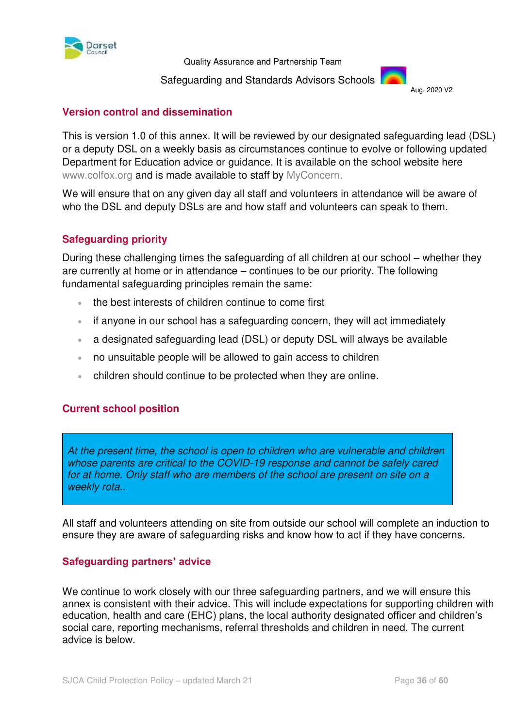

#### Safeguarding and Standards Advisors Schools

Aug. 2020 V2

#### **Version control and dissemination**

This is version 1.0 of this annex. It will be reviewed by our designated safeguarding lead (DSL) or a deputy DSL on a weekly basis as circumstances continue to evolve or following updated Department for Education advice or guidance. It is available on the school website here www.colfox.org and is made available to staff by MyConcern.

We will ensure that on any given day all staff and volunteers in attendance will be aware of who the DSL and deputy DSLs are and how staff and volunteers can speak to them.

#### **Safeguarding priority**

During these challenging times the safeguarding of all children at our school – whether they are currently at home or in attendance – continues to be our priority. The following fundamental safeguarding principles remain the same:

- the best interests of children continue to come first
- if anyone in our school has a safeguarding concern, they will act immediately
- a designated safeguarding lead (DSL) or deputy DSL will always be available
- no unsuitable people will be allowed to gain access to children
- children should continue to be protected when they are online.

# **Current school position**

At the present time, the school is open to children who are vulnerable and children whose parents are critical to the COVID-19 response and cannot be safely cared for at home. Only staff who are members of the school are present on site on a weekly rota..

All staff and volunteers attending on site from outside our school will complete an induction to ensure they are aware of safeguarding risks and know how to act if they have concerns.

#### **Safeguarding partners' advice**

We continue to work closely with our three safeguarding partners, and we will ensure this annex is consistent with their advice. This will include expectations for supporting children with education, health and care (EHC) plans, the local authority designated officer and children's social care, reporting mechanisms, referral thresholds and children in need. The current advice is below.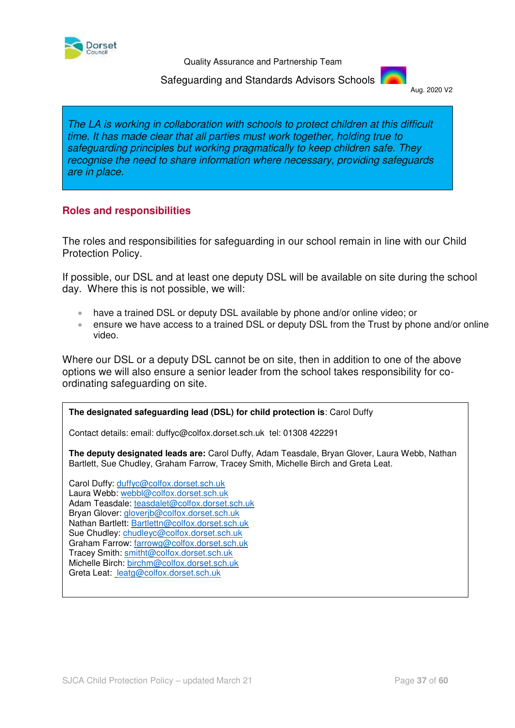

 Safeguarding and Standards Advisors Schools Aug. 2020 V2



The LA is working in collaboration with schools to protect children at this difficult time. It has made clear that all parties must work together, holding true to safeguarding principles but working pragmatically to keep children safe. They recognise the need to share information where necessary, providing safeguards are in place.

#### **Roles and responsibilities**

The roles and responsibilities for safeguarding in our school remain in line with our Child Protection Policy.

If possible, our DSL and at least one deputy DSL will be available on site during the school day. Where this is not possible, we will:

- have a trained DSL or deputy DSL available by phone and/or online video; or
- ensure we have access to a trained DSL or deputy DSL from the Trust by phone and/or online video.

Where our DSL or a deputy DSL cannot be on site, then in addition to one of the above options we will also ensure a senior leader from the school takes responsibility for coordinating safeguarding on site.

#### **The designated safeguarding lead (DSL) for child protection is**: Carol Duffy

Contact details: email: duffyc@colfox.dorset.sch.uk tel: 01308 422291

**The deputy designated leads are:** Carol Duffy, Adam Teasdale, Bryan Glover, Laura Webb, Nathan Bartlett, Sue Chudley, Graham Farrow, Tracey Smith, Michelle Birch and Greta Leat.

Carol Duffy: [duffyc@colfox.dorset.sch.uk](mailto:duffyc@colfox.dorset.sch.uk)  Laura Webb: [webbl@colfox.dorset.sch.uk](mailto:webbl@colfox.dorset.sch.uk) Adam Teasdale: [teasdalet@colfox.dorset.sch.uk](mailto:teasdalet@colfox.dorset.sch.uk) Bryan Glover: [gloverjb@colfox.dorset.sch.uk](mailto:gloverjb@colfox.dorset.sch.uk) Nathan Bartlett: [Bartlettn@colfox.dorset.sch.uk](mailto:Bartlettn@colfox.dorset.sch.uk) Sue Chudley: [chudleyc@colfox.dorset.sch.uk](mailto:chudleyc@colfox.dorset.sch.uk) Graham Farrow: [farrowg@colfox.dorset.sch.uk](mailto:farrowg@colfox.dorset.sch.uk) Tracey Smith: [smitht@colfox.dorset.sch.uk](mailto:smitht@colfox.dorset.sch.uk) Michelle Birch: [birchm@colfox.dorset.sch.uk](mailto:birchm@colfox.dorset.sch.uk)  Greta Leat: leatg@colfox.dorset.sch.uk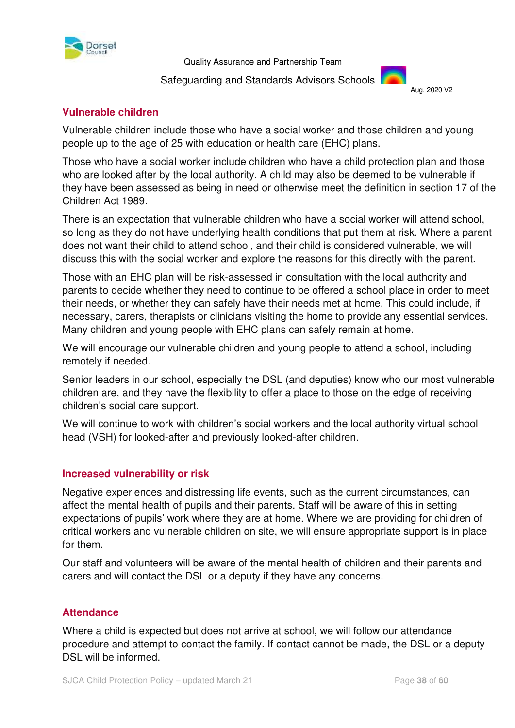

#### Safeguarding and Standards Advisors Schools Aug. 2020 V2



# **Vulnerable children**

Vulnerable children include those who have a social worker and those children and young people up to the age of 25 with education or health care (EHC) plans.

Those who have a social worker include children who have a child protection plan and those who are looked after by the local authority. A child may also be deemed to be vulnerable if they have been assessed as being in need or otherwise meet the definition in section 17 of the Children Act 1989.

There is an expectation that vulnerable children who have a social worker will attend school, so long as they do not have underlying health conditions that put them at risk. Where a parent does not want their child to attend school, and their child is considered vulnerable, we will discuss this with the social worker and explore the reasons for this directly with the parent.

Those with an EHC plan will be risk-assessed in consultation with the local authority and parents to decide whether they need to continue to be offered a school place in order to meet their needs, or whether they can safely have their needs met at home. This could include, if necessary, carers, therapists or clinicians visiting the home to provide any essential services. Many children and young people with EHC plans can safely remain at home.

We will encourage our vulnerable children and young people to attend a school, including remotely if needed.

Senior leaders in our school, especially the DSL (and deputies) know who our most vulnerable children are, and they have the flexibility to offer a place to those on the edge of receiving children's social care support.

We will continue to work with children's social workers and the local authority virtual school head (VSH) for looked-after and previously looked-after children.

# **Increased vulnerability or risk**

Negative experiences and distressing life events, such as the current circumstances, can affect the mental health of pupils and their parents. Staff will be aware of this in setting expectations of pupils' work where they are at home. Where we are providing for children of critical workers and vulnerable children on site, we will ensure appropriate support is in place for them.

Our staff and volunteers will be aware of the mental health of [children](https://safeguarding.network/safeguarding-resources/specific-risks-children-additional-needs/mental-health/) and their [parents and](https://safeguarding.network/safeguarding-resources/parental-issues/parental-mental-ill-health/)  [carers](https://safeguarding.network/safeguarding-resources/parental-issues/parental-mental-ill-health/) and will contact the DSL or a deputy if they have any concerns.

# **Attendance**

Where a child is expected but does not arrive at school, we will follow our attendance procedure and attempt to contact the family. If contact cannot be made, the DSL or a deputy DSL will be informed.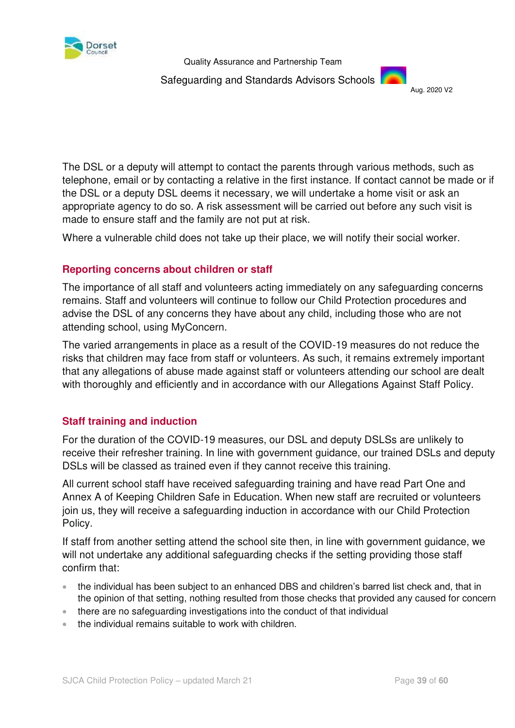

Safeguarding and Standards Advisors Schools



The DSL or a deputy will attempt to contact the parents through various methods, such as telephone, email or by contacting a relative in the first instance. If contact cannot be made or if the DSL or a deputy DSL deems it necessary, we will undertake a home visit or ask an appropriate agency to do so. A risk assessment will be carried out before any such visit is made to ensure staff and the family are not put at risk.

Where a vulnerable child does not take up their place, we will notify their social worker.

# **Reporting concerns about children or staff**

The importance of all staff and volunteers acting immediately on any safeguarding concerns remains. Staff and volunteers will continue to follow our Child Protection procedures and advise the DSL of any concerns they have about any child, including those who are not attending school, using MyConcern.

The varied arrangements in place as a result of the COVID-19 measures do not reduce the risks that children may face from staff or volunteers. As such, it remains extremely important that any allegations of abuse made against staff or volunteers attending our school are dealt with thoroughly and efficiently and in accordance with our Allegations Against Staff Policy.

# **Staff training and induction**

For the duration of the COVID-19 measures, our DSL and deputy DSLSs are unlikely to receive their refresher training. In line with government guidance, our trained DSLs and deputy DSLs will be classed as trained even if they cannot receive this training.

All current school staff have received safeguarding training and have read Part One and Annex A of Keeping Children Safe in Education. When new staff are recruited or volunteers join us, they will receive a safeguarding induction in accordance with our Child Protection Policy.

If staff from another setting attend the school site then, in line with government guidance, we will not undertake any additional safeguarding checks if the setting providing those staff confirm that:

- the individual has been subject to an enhanced DBS and children's barred list check and, that in the opinion of that setting, nothing resulted from those checks that provided any caused for concern
- there are no safeguarding investigations into the conduct of that individual
- the individual remains suitable to work with children.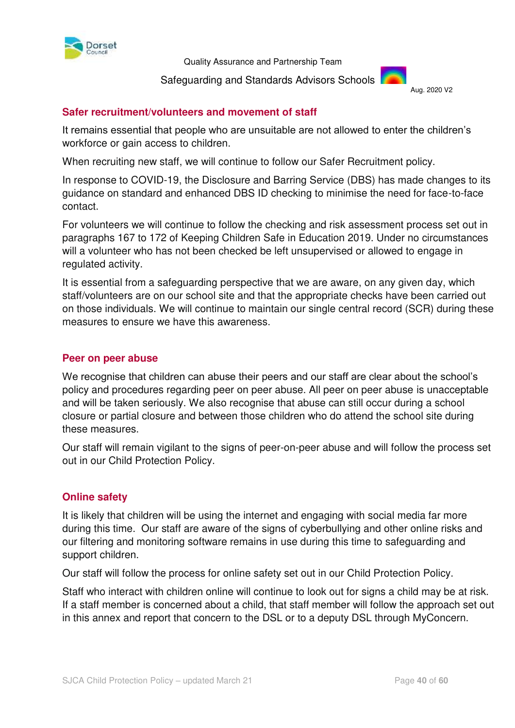

#### Safeguarding and Standards Advisors Schools Aug. 2020 V2



#### **Safer recruitment/volunteers and movement of staff**

It remains essential that people who are unsuitable are not allowed to enter the children's workforce or gain access to children.

When recruiting new staff, we will continue to follow our Safer Recruitment policy.

In response to COVID-19, the Disclosure and Barring Service (DBS) has made changes to its guidance on standard and enhanced DBS ID checking to minimise the need for face-to-face contact.

For volunteers we will continue to follow the checking and risk assessment process set out in paragraphs 167 to 172 of Keeping Children Safe in Education 2019. Under no circumstances will a volunteer who has not been checked be left unsupervised or allowed to engage in regulated activity.

It is essential from a safeguarding perspective that we are aware, on any given day, which staff/volunteers are on our school site and that the appropriate checks have been carried out on those individuals. We will continue to maintain our single central record (SCR) during these measures to ensure we have this awareness.

#### **Peer on peer abuse**

We recognise that children can abuse their peers and our staff are clear about the school's policy and procedures regarding peer on peer abuse. All peer on peer abuse is unacceptable and will be taken seriously. We also recognise that abuse can still occur during a school closure or partial closure and between those children who do attend the school site during these measures.

Our staff will remain vigilant to the [signs of peer-on-peer abuse](file:///C:/Users/Christine/AppData/Local/Microsoft/Windows/INetCache/Content.Outlook/0CGV3O2R/safeguarding.network/peer-on-peer) and will follow the process set out in our Child Protection Policy.

#### **Online safety**

It is likely that children will be using the internet and engaging with social media far more during this time. Our staff are aware of the signs of cyberbullying and other online risks and our filtering and monitoring software remains in use during this time to safeguarding and support children.

Our staff will follow the process for online safety set out in our Child Protection Policy.

Staff who interact with children online will continue to look out for signs a child may be at risk. If a staff member is concerned about a child, that staff member will follow the approach set out in this annex and report that concern to the DSL or to a deputy DSL through MyConcern.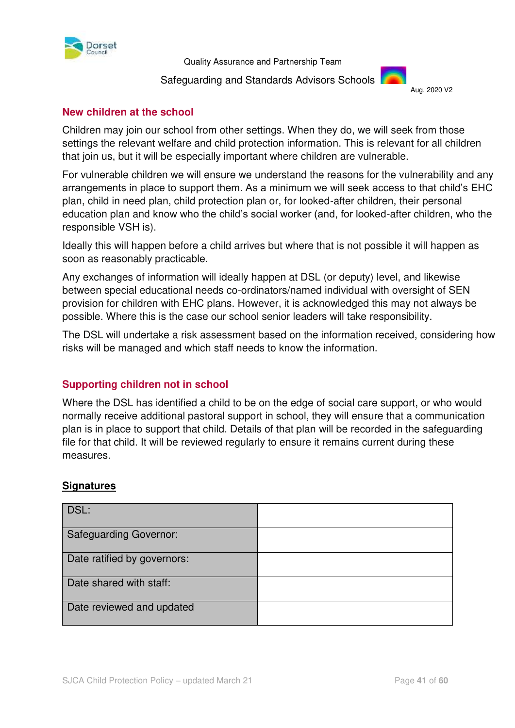

#### Safeguarding and Standards Advisors Schools Aug. 2020 V2



### **New children at the school**

Children may join our school from other settings. When they do, we will seek from those settings the relevant welfare and child protection information. This is relevant for all children that join us, but it will be especially important where children are vulnerable.

For vulnerable children we will ensure we understand the reasons for the vulnerability and any arrangements in place to support them. As a minimum we will seek access to that child's EHC plan, child in need plan, child protection plan or, for looked-after children, their personal education plan and know who the child's social worker (and, for looked-after children, who the responsible VSH is).

Ideally this will happen before a child arrives but where that is not possible it will happen as soon as reasonably practicable.

Any exchanges of information will ideally happen at DSL (or deputy) level, and likewise between special educational needs co-ordinators/named individual with oversight of SEN provision for children with EHC plans. However, it is acknowledged this may not always be possible. Where this is the case our school senior leaders will take responsibility.

The DSL will undertake a risk assessment based on the information received, considering how risks will be managed and which staff needs to know the information.

# **Supporting children not in school**

Where the DSL has identified a child to be on the edge of social care support, or who would normally receive additional pastoral support in school, they will ensure that a communication plan is in place to support that child. Details of that plan will be recorded in the safeguarding file for that child. It will be reviewed regularly to ensure it remains current during these measures.

#### **Signatures**

| DSL:                          |  |
|-------------------------------|--|
| <b>Safeguarding Governor:</b> |  |
| Date ratified by governors:   |  |
| Date shared with staff:       |  |
| Date reviewed and updated     |  |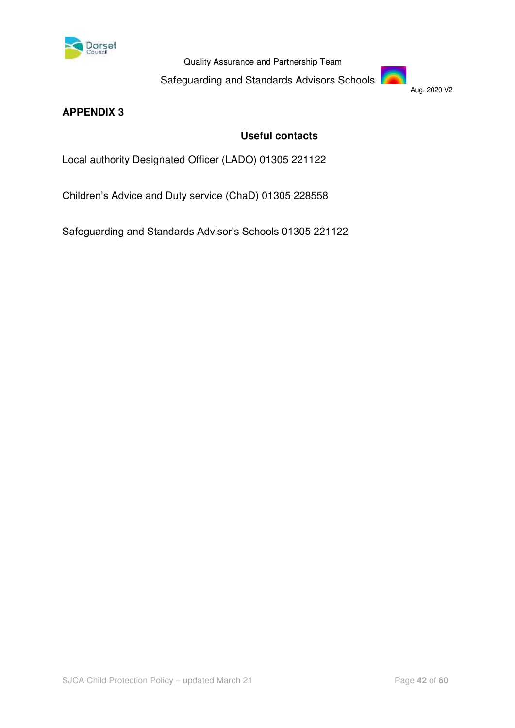

Safeguarding and Standards Advisors Schools

Aug. 2020 V2

# **APPENDIX 3**

# **Useful contacts**

Local authority Designated Officer (LADO) 01305 221122

Children's Advice and Duty service (ChaD) 01305 228558

Safeguarding and Standards Advisor's Schools 01305 221122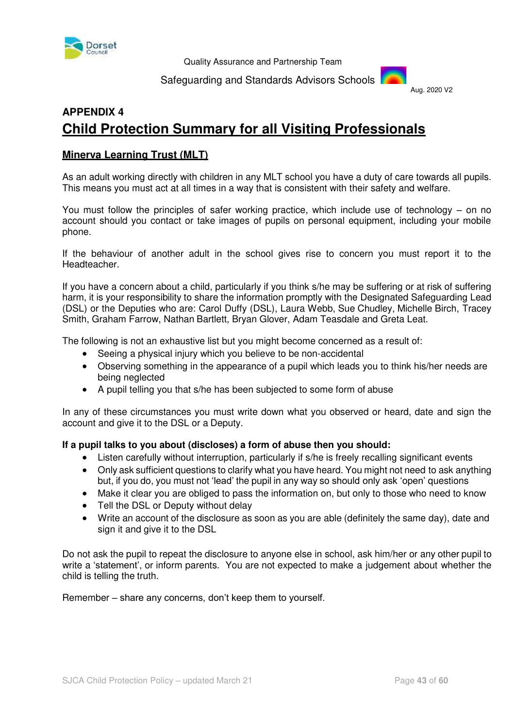

#### Safeguarding and Standards Advisors Schools



# **APPENDIX 4 Child Protection Summary for all Visiting Professionals**

#### **Minerva Learning Trust (MLT)**

As an adult working directly with children in any MLT school you have a duty of care towards all pupils. This means you must act at all times in a way that is consistent with their safety and welfare.

You must follow the principles of safer working practice, which include use of technology – on no account should you contact or take images of pupils on personal equipment, including your mobile phone.

If the behaviour of another adult in the school gives rise to concern you must report it to the Headteacher.

If you have a concern about a child, particularly if you think s/he may be suffering or at risk of suffering harm, it is your responsibility to share the information promptly with the Designated Safeguarding Lead (DSL) or the Deputies who are: Carol Duffy (DSL), Laura Webb, Sue Chudley, Michelle Birch, Tracey Smith, Graham Farrow, Nathan Bartlett, Bryan Glover, Adam Teasdale and Greta Leat.

The following is not an exhaustive list but you might become concerned as a result of:

- Seeing a physical injury which you believe to be non-accidental
- Observing something in the appearance of a pupil which leads you to think his/her needs are being neglected
- A pupil telling you that s/he has been subjected to some form of abuse

In any of these circumstances you must write down what you observed or heard, date and sign the account and give it to the DSL or a Deputy.

#### **If a pupil talks to you about (discloses) a form of abuse then you should:**

- Listen carefully without interruption, particularly if s/he is freely recalling significant events
- Only ask sufficient questions to clarify what you have heard. You might not need to ask anything but, if you do, you must not 'lead' the pupil in any way so should only ask 'open' questions
- Make it clear you are obliged to pass the information on, but only to those who need to know
- Tell the DSL or Deputy without delay
- Write an account of the disclosure as soon as you are able (definitely the same day), date and sign it and give it to the DSL

Do not ask the pupil to repeat the disclosure to anyone else in school, ask him/her or any other pupil to write a 'statement', or inform parents. You are not expected to make a judgement about whether the child is telling the truth.

Remember – share any concerns, don't keep them to yourself.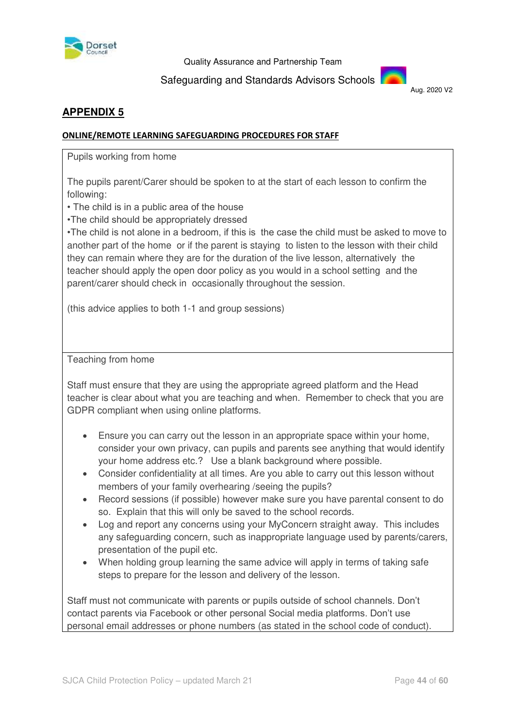

Safeguarding and Standards Advisors Schools



# **APPENDIX 5**

#### **ONLINE/REMOTE LEARNING SAFEGUARDING PROCEDURES FOR STAFF**

Pupils working from home

The pupils parent/Carer should be spoken to at the start of each lesson to confirm the following:

• The child is in a public area of the house

•The child should be appropriately dressed

•The child is not alone in a bedroom, if this is the case the child must be asked to move to another part of the home or if the parent is staying to listen to the lesson with their child they can remain where they are for the duration of the live lesson, alternatively the teacher should apply the open door policy as you would in a school setting and the parent/carer should check in occasionally throughout the session.

(this advice applies to both 1-1 and group sessions)

Teaching from home

Staff must ensure that they are using the appropriate agreed platform and the Head teacher is clear about what you are teaching and when. Remember to check that you are GDPR compliant when using online platforms.

- Ensure you can carry out the lesson in an appropriate space within your home, consider your own privacy, can pupils and parents see anything that would identify your home address etc.? Use a blank background where possible.
- Consider confidentiality at all times. Are you able to carry out this lesson without members of your family overhearing /seeing the pupils?
- Record sessions (if possible) however make sure you have parental consent to do so. Explain that this will only be saved to the school records.
- Log and report any concerns using your MyConcern straight away. This includes any safeguarding concern, such as inappropriate language used by parents/carers, presentation of the pupil etc.
- When holding group learning the same advice will apply in terms of taking safe steps to prepare for the lesson and delivery of the lesson.

Staff must not communicate with parents or pupils outside of school channels. Don't contact parents via Facebook or other personal Social media platforms. Don't use personal email addresses or phone numbers (as stated in the school code of conduct).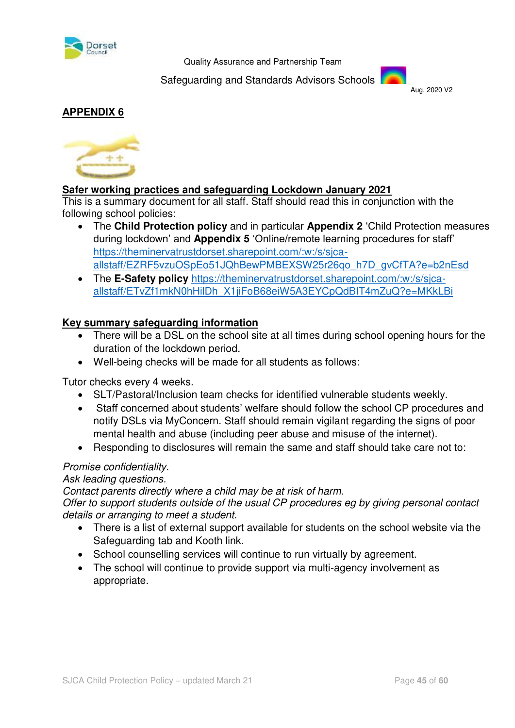

Safeguarding and Standards Advisors Schools



# **APPENDIX 6**



# **Safer working practices and safeguarding Lockdown January 2021**

This is a summary document for all staff. Staff should read this in conjunction with the following school policies:

- The **Child Protection policy** and in particular **Appendix 2** 'Child Protection measures during lockdown' and **Appendix 5** 'Online/remote learning procedures for staff' [https://theminervatrustdorset.sharepoint.com/:w:/s/sjca](https://theminervatrustdorset.sharepoint.com/:w:/s/sjca-allstaff/EZRF5vzuOSpEo51JQhBewPMBEXSW25r26qo_h7D_gvCfTA?e=b2nEsd)[allstaff/EZRF5vzuOSpEo51JQhBewPMBEXSW25r26qo\\_h7D\\_gvCfTA?e=b2nEsd](https://theminervatrustdorset.sharepoint.com/:w:/s/sjca-allstaff/EZRF5vzuOSpEo51JQhBewPMBEXSW25r26qo_h7D_gvCfTA?e=b2nEsd)
- The **E-Safety policy** [https://theminervatrustdorset.sharepoint.com/:w:/s/sjca](https://theminervatrustdorset.sharepoint.com/:w:/s/sjca-allstaff/ETvZf1mkN0hHilDh_X1jiFoB68eiW5A3EYCpQdBIT4mZuQ?e=MKkLBi)[allstaff/ETvZf1mkN0hHilDh\\_X1jiFoB68eiW5A3EYCpQdBIT4mZuQ?e=MKkLBi](https://theminervatrustdorset.sharepoint.com/:w:/s/sjca-allstaff/ETvZf1mkN0hHilDh_X1jiFoB68eiW5A3EYCpQdBIT4mZuQ?e=MKkLBi)

# **Key summary safeguarding information**

- There will be a DSL on the school site at all times during school opening hours for the duration of the lockdown period.
- Well-being checks will be made for all students as follows:

Tutor checks every 4 weeks.

- SLT/Pastoral/Inclusion team checks for identified vulnerable students weekly.
- Staff concerned about students' welfare should follow the school CP procedures and notify DSLs via MyConcern. Staff should remain vigilant regarding the signs of poor mental health and abuse (including peer abuse and misuse of the internet).
- Responding to disclosures will remain the same and staff should take care not to:

# Promise confidentiality.

#### Ask leading questions.

Contact parents directly where a child may be at risk of harm.

Offer to support students outside of the usual CP procedures eg by giving personal contact details or arranging to meet a student.

- There is a list of external support available for students on the school website via the Safeguarding tab and Kooth link.
- School counselling services will continue to run virtually by agreement.
- The school will continue to provide support via multi-agency involvement as appropriate.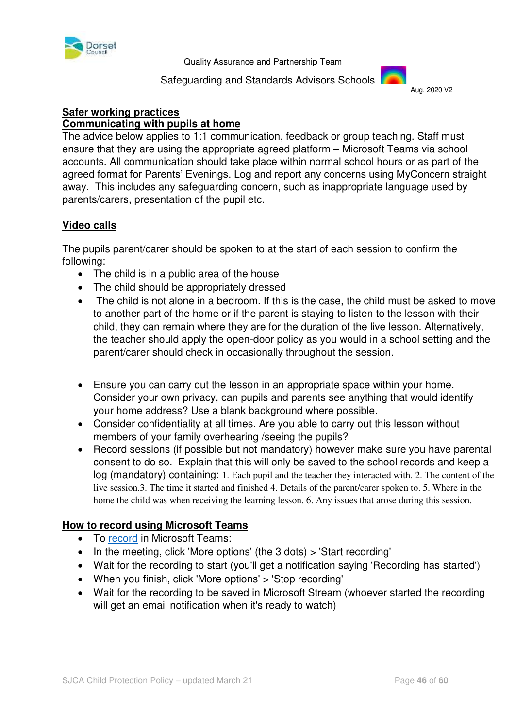

#### Safeguarding and Standards Advisors Schools



#### **Safer working practices Communicating with pupils at home**

The advice below applies to 1:1 communication, feedback or group teaching. Staff must ensure that they are using the appropriate agreed platform – Microsoft Teams via school accounts. All communication should take place within normal school hours or as part of the agreed format for Parents' Evenings. Log and report any concerns using MyConcern straight away. This includes any safeguarding concern, such as inappropriate language used by parents/carers, presentation of the pupil etc.

# **Video calls**

The pupils parent/carer should be spoken to at the start of each session to confirm the following:

- The child is in a public area of the house
- The child should be appropriately dressed
- The child is not alone in a bedroom. If this is the case, the child must be asked to move to another part of the home or if the parent is staying to listen to the lesson with their child, they can remain where they are for the duration of the live lesson. Alternatively, the teacher should apply the open-door policy as you would in a school setting and the parent/carer should check in occasionally throughout the session.
- Ensure you can carry out the lesson in an appropriate space within your home. Consider your own privacy, can pupils and parents see anything that would identify your home address? Use a blank background where possible.
- Consider confidentiality at all times. Are you able to carry out this lesson without members of your family overhearing /seeing the pupils?
- Record sessions (if possible but not mandatory) however make sure you have parental consent to do so. Explain that this will only be saved to the school records and keep a log (mandatory) containing: 1. Each pupil and the teacher they interacted with. 2. The content of the live session.3. The time it started and finished 4. Details of the parent/carer spoken to. 5. Where in the home the child was when receiving the learning lesson. 6. Any issues that arose during this session.

# **How to record using Microsoft Teams**

- To [record](https://support.office.com/en-gb/article/record-a-meeting-in-teams-34dfbe7f-b07d-4a27-b4c6-de62f1348c24) in Microsoft Teams:
- In the meeting, click 'More options' (the 3 dots) > 'Start recording'
- Wait for the recording to start (you'll get a notification saying 'Recording has started')
- When you finish, click 'More options' > 'Stop recording'
- Wait for the recording to be saved in Microsoft Stream (whoever started the recording will get an email notification when it's ready to watch)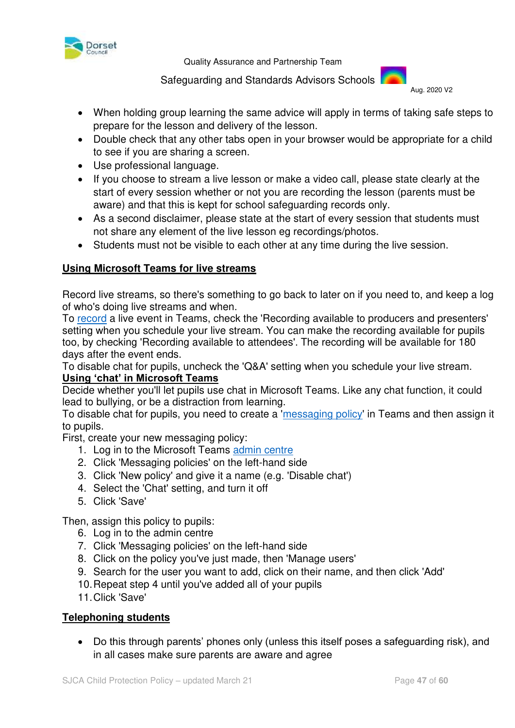

Safeguarding and Standards Advisors Schools

Aug. 2020 V2

- When holding group learning the same advice will apply in terms of taking safe steps to prepare for the lesson and delivery of the lesson.
- Double check that any other tabs open in your browser would be appropriate for a child to see if you are sharing a screen.
- Use professional language.
- If you choose to stream a live lesson or make a video call, please state clearly at the start of every session whether or not you are recording the lesson (parents must be aware) and that this is kept for school safeguarding records only.
- As a second disclaimer, please state at the start of every session that students must not share any element of the live lesson eg recordings/photos.
- Students must not be visible to each other at any time during the live session.

# **Using Microsoft Teams for live streams**

Record live streams, so there's something to go back to later on if you need to, and keep a log of who's doing live streams and when.

To [record](https://support.microsoft.com/en-gb/office/schedule-a-teams-live-event-7a9ce97c-e1cd-470f-acaf-e6dfc179a0e2) a live event in Teams, check the 'Recording available to producers and presenters' setting when you schedule your live stream. You can make the recording available for pupils too, by checking 'Recording available to attendees'. The recording will be available for 180 days after the event ends.

To disable chat for pupils, uncheck the 'Q&A' setting when you schedule your live stream.

# **Using 'chat' in Microsoft Teams**

Decide whether you'll let pupils use chat in Microsoft Teams. Like any chat function, it could lead to bullying, or be a distraction from learning.

To disable chat for pupils, you need to create a ['messaging policy'](https://docs.microsoft.com/en-us/microsoftteams/messaging-policies-in-teams) in Teams and then assign it to pupils.

First, create your new messaging policy:

- 1. Log in to the Microsoft Teams [admin centre](https://admin.teams.microsoft.com/)
- 2. Click 'Messaging policies' on the left-hand side
- 3. Click 'New policy' and give it a name (e.g. 'Disable chat')
- 4. Select the 'Chat' setting, and turn it off
- 5. Click 'Save'

Then, assign this policy to pupils:

- 6. Log in to the admin centre
- 7. Click 'Messaging policies' on the left-hand side
- 8. Click on the policy you've just made, then 'Manage users'
- 9. Search for the user you want to add, click on their name, and then click 'Add'
- 10. Repeat step 4 until you've added all of your pupils
- 11. Click 'Save'

#### **Telephoning students**

 Do this through parents' phones only (unless this itself poses a safeguarding risk), and in all cases make sure parents are aware and agree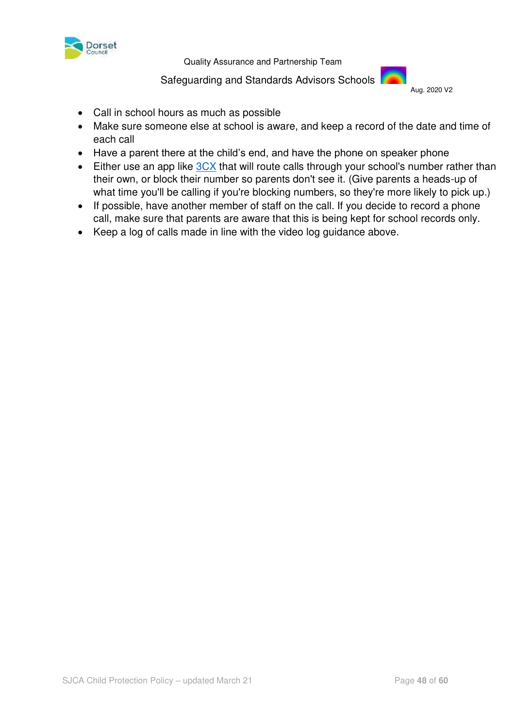

#### Safeguarding and Standards Advisors Schools



- Call in school hours as much as possible
- Make sure someone else at school is aware, and keep a record of the date and time of each call
- Have a parent there at the child's end, and have the phone on speaker phone
- Either use an app like [3CX](https://www.3cx.com/phone-system/android-ios-voip/) that will route calls through your school's number rather than their own, or block their number so parents don't see it. (Give parents a heads-up of what time you'll be calling if you're blocking numbers, so they're more likely to pick up.)
- If possible, have another member of staff on the call. If you decide to record a phone call, make sure that parents are aware that this is being kept for school records only.
- Keep a log of calls made in line with the video log guidance above.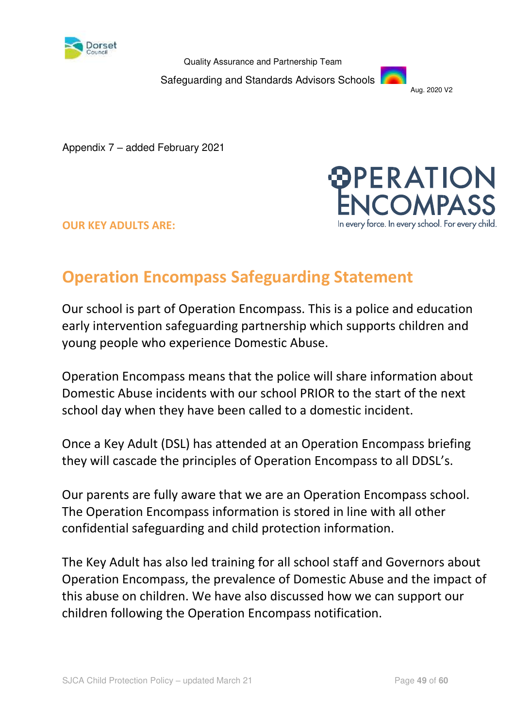

Safeguarding and Standards Advisors Schools



Appendix 7 – added February 2021





# **Operation Encompass Safeguarding Statement**

Our school is part of Operation Encompass. This is a police and education early intervention safeguarding partnership which supports children and young people who experience Domestic Abuse.

Operation Encompass means that the police will share information about Domestic Abuse incidents with our school PRIOR to the start of the next school day when they have been called to a domestic incident.

Once a Key Adult (DSL) has attended at an Operation Encompass briefing they will cascade the principles of Operation Encompass to all DDSL's.

Our parents are fully aware that we are an Operation Encompass school. The Operation Encompass information is stored in line with all other confidential safeguarding and child protection information.

The Key Adult has also led training for all school staff and Governors about Operation Encompass, the prevalence of Domestic Abuse and the impact of this abuse on children. We have also discussed how we can support our children following the Operation Encompass notification.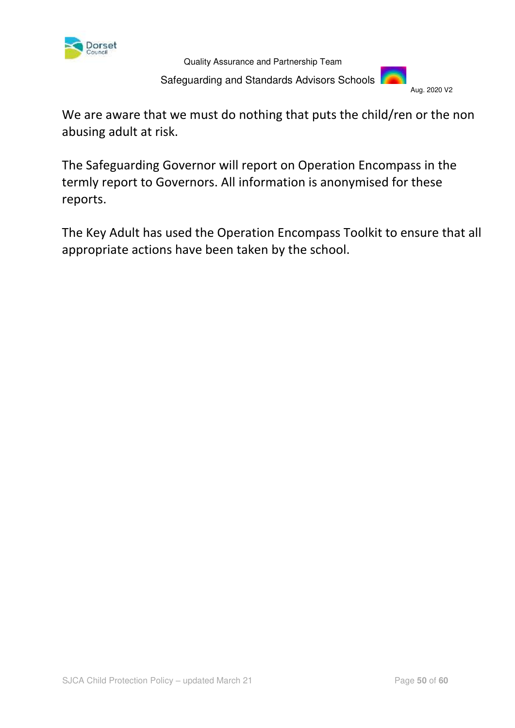

 Safeguarding and Standards Advisors Schools Aug. 2020 V2

We are aware that we must do nothing that puts the child/ren or the non abusing adult at risk.

The Safeguarding Governor will report on Operation Encompass in the termly report to Governors. All information is anonymised for these reports.

The Key Adult has used the Operation Encompass Toolkit to ensure that all appropriate actions have been taken by the school.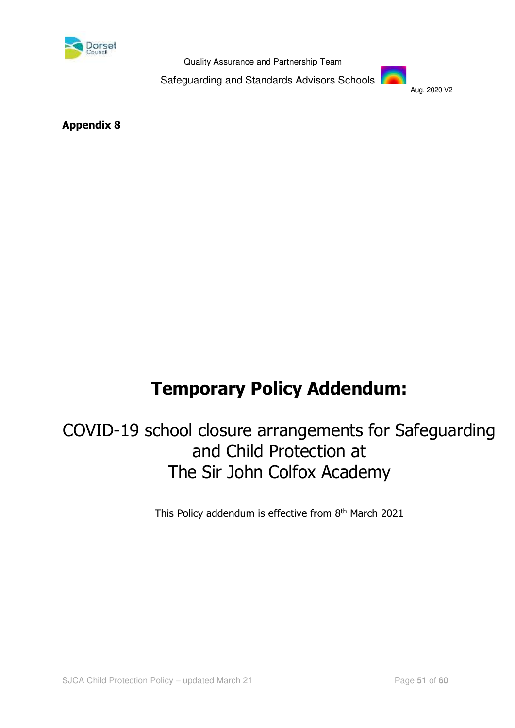

Safeguarding and Standards Advisors Schools



**Appendix 8**

# **Temporary Policy Addendum:**

# COVID-19 school closure arrangements for Safeguarding and Child Protection at The Sir John Colfox Academy

This Policy addendum is effective from 8<sup>th</sup> March 2021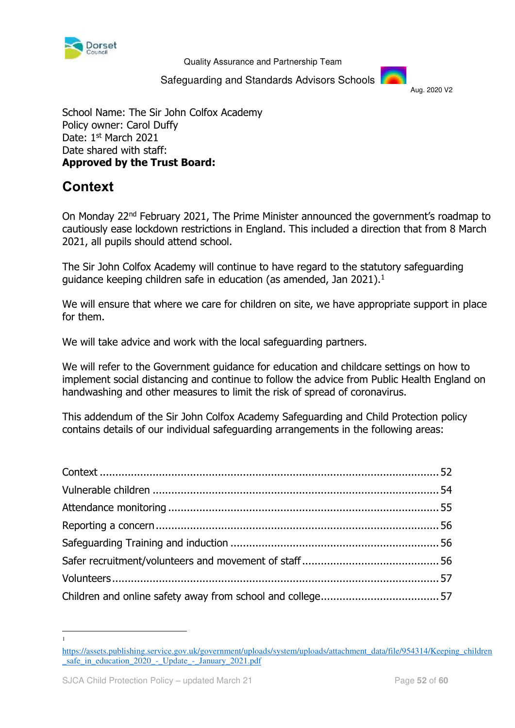

Safeguarding and Standards Advisors Schools

Aug. 2020 V2

School Name: The Sir John Colfox Academy Policy owner: Carol Duffy Date: 1st March 2021 Date shared with staff: **Approved by the Trust Board:**

# <span id="page-51-0"></span>**Context**

On Monday 22nd February 2021, The Prime Minister announced the government's roadmap to cautiously ease lockdown restrictions in England. This included a direction that from 8 March 2021, all pupils should attend school.

The Sir John Colfox Academy will continue to have regard to the statutory safeguarding guidance keeping children safe in education (as amended, Jan 2021).<sup>1</sup>

We will ensure that where we care for children on site, we have appropriate support in place for them.

We will take advice and work with the local safeguarding partners.

We will refer to the Government guidance for education and childcare settings on how to implement social distancing and continue to follow the advice from Public Health England on handwashing and other measures to limit the risk of spread of coronavirus.

This addendum of the Sir John Colfox Academy Safeguarding and Child Protection policy contains details of our individual safeguarding arrangements in the following areas:

-1

[https://assets.publishing.service.gov.uk/government/uploads/system/uploads/attachment\\_data/file/954314/Keeping\\_children](https://assets.publishing.service.gov.uk/government/uploads/system/uploads/attachment_data/file/954314/Keeping_children_safe_in_education_2020_-_Update_-_January_2021.pdf) safe\_in\_education\_2020\_-\_Update\_-\_January\_2021.pdf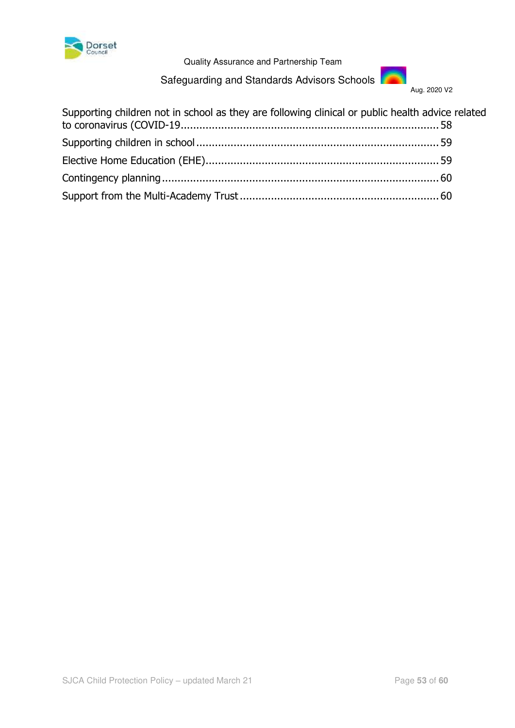

Dorset<br>Council Council Council<br>Quality Assurance and Partnership Team

Safeguarding and Standards Advisors Schools



| Supporting children not in school as they are following clinical or public health advice related |  |
|--------------------------------------------------------------------------------------------------|--|
|                                                                                                  |  |
|                                                                                                  |  |
|                                                                                                  |  |
|                                                                                                  |  |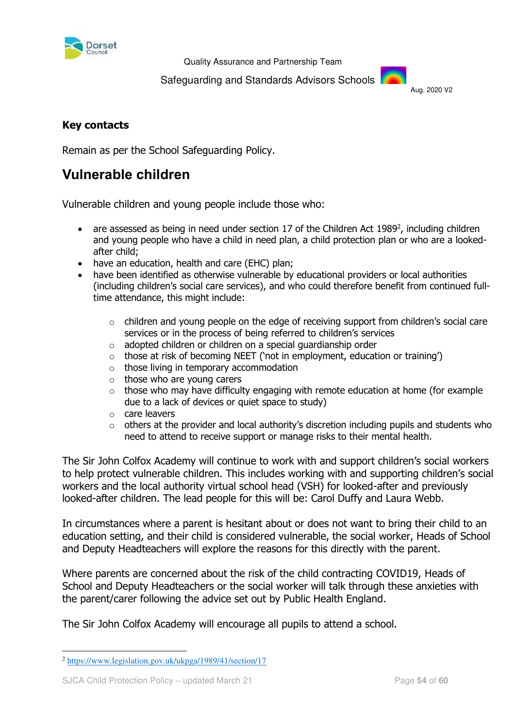

Safeguarding and Standards Advisors Schools

Aug. 2020 V2

# **Key contacts**

Remain as per the School Safeguarding Policy.

# <span id="page-53-0"></span>**Vulnerable children**

Vulnerable children and young people include those who:

- $\bullet$  are assessed as being in need under section 17 of the Children Act 1989<sup>2</sup>, including children and young people who have a child in need plan, a child protection plan or who are a lookedafter child;
- have an education, health and care (EHC) plan;
- have been identified as otherwise vulnerable by educational providers or local authorities (including children's social care services), and who could therefore benefit from continued fulltime attendance, this might include:
	- $\circ$  children and young people on the edge of receiving support from children's social care services or in the process of being referred to children's services
	- o adopted children or children on a special guardianship order
	- o those at risk of becoming NEET ('not in employment, education or training')
	- $\circ$  those living in temporary accommodation
	- o those who are young carers
	- $\circ$  those who may have difficulty engaging with remote education at home (for example due to a lack of devices or quiet space to study)
	- o care leavers
	- $\circ$  others at the provider and local authority's discretion including pupils and students who need to attend to receive support or manage risks to their mental health.

The Sir John Colfox Academy will continue to work with and support children's social workers to help protect vulnerable children. This includes working with and supporting children's social workers and the local authority virtual school head (VSH) for looked-after and previously looked-after children. The lead people for this will be: Carol Duffy and Laura Webb.

In circumstances where a parent is hesitant about or does not want to bring their child to an education setting, and their child is considered vulnerable, the social worker, Heads of School and Deputy Headteachers will explore the reasons for this directly with the parent.

Where parents are concerned about the risk of the child contracting COVID19, Heads of School and Deputy Headteachers or the social worker will talk through these anxieties with the parent/carer following the advice set out by Public Health England.

The Sir John Colfox Academy will encourage all pupils to attend a school.

<sup>-</sup><sup>2</sup> <https://www.legislation.gov.uk/ukpga/1989/41/section/17>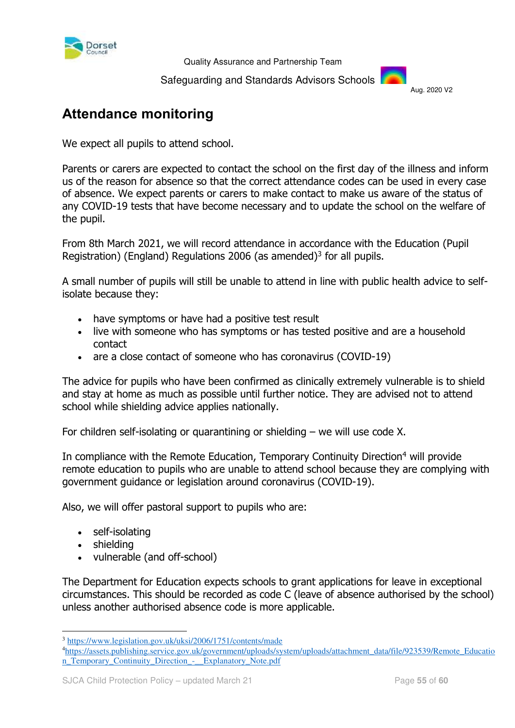

Safeguarding and Standards Advisors Schools



# <span id="page-54-0"></span>**Attendance monitoring**

We expect all pupils to attend school.

Parents or carers are expected to contact the school on the first day of the illness and inform us of the reason for absence so that the correct attendance codes can be used in every case of absence. We expect parents or carers to make contact to make us aware of the status of any COVID-19 tests that have become necessary and to update the school on the welfare of the pupil.

From 8th March 2021, we will record attendance in accordance with the Education (Pupil Registration) (England) Regulations 2006 (as amended) $3$  for all pupils.

A small number of pupils will still be unable to attend in line with public health advice to selfisolate because they:

- have symptoms or have had a positive test result
- live with someone who has symptoms or has tested positive and are a household contact
- are a close contact of someone who has coronavirus (COVID-19)

The advice for pupils who have been confirmed as clinically extremely vulnerable is to shield and stay at home as much as possible until further notice. They are advised not to attend school while shielding advice applies nationally.

For children self-isolating or quarantining or shielding – we will use code X.

In compliance with the Remote Education, Temporary Continuity Direction<sup>4</sup> will provide remote education to pupils who are unable to attend school because they are complying with government guidance or legislation around coronavirus (COVID-19).

Also, we will offer pastoral support to pupils who are:

- self-isolating
- shielding

-

vulnerable (and off-school)

The Department for Education expects schools to grant applications for leave in exceptional circumstances. This should be recorded as code C (leave of absence authorised by the school) unless another authorised absence code is more applicable.

<sup>&</sup>lt;sup>3</sup> https://www.legislation.gov.uk/uksi/2006/1751/contents/made

<sup>4</sup>[https://assets.publishing.service.gov.uk/government/uploads/system/uploads/attachment\\_data/file/923539/Remote\\_Educatio](https://assets.publishing.service.gov.uk/government/uploads/system/uploads/attachment_data/file/923539/Remote_Education_Temporary_Continuity_Direction_-__Explanatory_Note.pdf) n\_Temporary\_Continuity\_Direction - \_Explanatory\_Note.pdf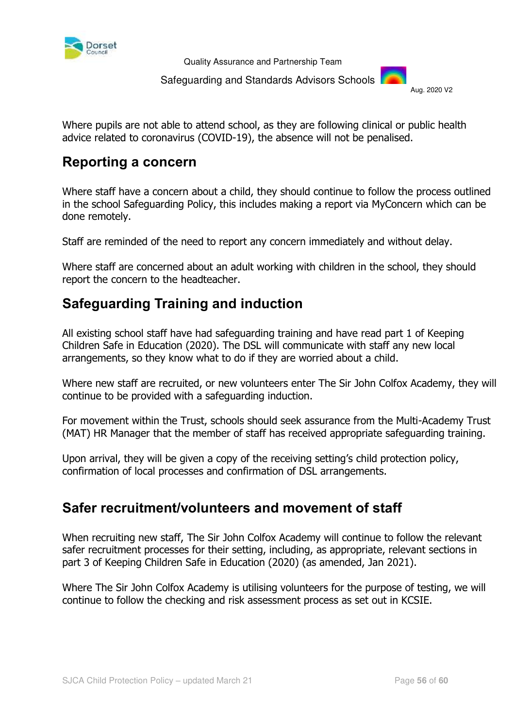

Safeguarding and Standards Advisors Schools



Where pupils are not able to attend school, as they are following clinical or public health advice related to coronavirus (COVID-19), the absence will not be penalised.

# <span id="page-55-0"></span>**Reporting a concern**

Where staff have a concern about a child, they should continue to follow the process outlined in the school Safeguarding Policy, this includes making a report via MyConcern which can be done remotely.

Staff are reminded of the need to report any concern immediately and without delay.

Where staff are concerned about an adult working with children in the school, they should report the concern to the headteacher.

# <span id="page-55-1"></span>**Safeguarding Training and induction**

All existing school staff have had safeguarding training and have read part 1 of Keeping Children Safe in Education (2020). The DSL will communicate with staff any new local arrangements, so they know what to do if they are worried about a child.

Where new staff are recruited, or new volunteers enter The Sir John Colfox Academy, they will continue to be provided with a safeguarding induction.

For movement within the Trust, schools should seek assurance from the Multi-Academy Trust (MAT) HR Manager that the member of staff has received appropriate safeguarding training.

Upon arrival, they will be given a copy of the receiving setting's child protection policy, confirmation of local processes and confirmation of DSL arrangements.

# <span id="page-55-2"></span>**Safer recruitment/volunteers and movement of staff**

When recruiting new staff, The Sir John Colfox Academy will continue to follow the relevant safer recruitment processes for their setting, including, as appropriate, relevant sections in part 3 of Keeping Children Safe in Education (2020) (as amended, Jan 2021).

Where The Sir John Colfox Academy is utilising volunteers for the purpose of testing, we will continue to follow the checking and risk assessment process as set out in KCSIE.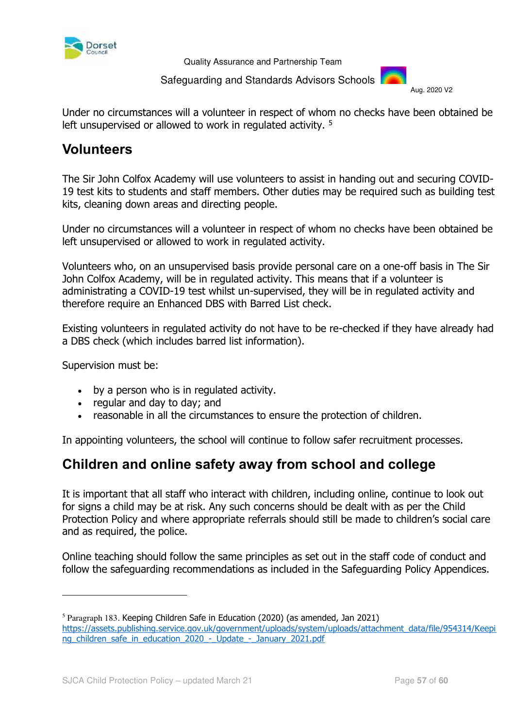

Safeguarding and Standards Advisors Schools

Aug. 2020 V2

Under no circumstances will a volunteer in respect of whom no checks have been obtained be left unsupervised or allowed to work in regulated activity.<sup>5</sup>

# <span id="page-56-0"></span>**Volunteers**

The Sir John Colfox Academy will use volunteers to assist in handing out and securing COVID-19 test kits to students and staff members. Other duties may be required such as building test kits, cleaning down areas and directing people.

Under no circumstances will a volunteer in respect of whom no checks have been obtained be left unsupervised or allowed to work in regulated activity.

Volunteers who, on an unsupervised basis provide personal care on a one-off basis in The Sir John Colfox Academy, will be in regulated activity. This means that if a volunteer is administrating a COVID-19 test whilst un-supervised, they will be in regulated activity and therefore require an Enhanced DBS with Barred List check.

Existing volunteers in regulated activity do not have to be re-checked if they have already had a DBS check (which includes barred list information).

Supervision must be:

<u>.</u>

- by a person who is in regulated activity.
- regular and day to day; and
- reasonable in all the circumstances to ensure the protection of children.

In appointing volunteers, the school will continue to follow safer recruitment processes.

# <span id="page-56-1"></span>**Children and online safety away from school and college**

It is important that all staff who interact with children, including online, continue to look out for signs a child may be at risk. Any such concerns should be dealt with as per the Child Protection Policy and where appropriate referrals should still be made to children's social care and as required, the police.

Online teaching should follow the same principles as set out in the staff code of conduct and follow the safeguarding recommendations as included in the Safeguarding Policy Appendices.

<sup>&</sup>lt;sup>5</sup> Paragraph 183. Keeping Children Safe in Education (2020) (as amended, Jan 2021) [https://assets.publishing.service.gov.uk/government/uploads/system/uploads/attachment\\_data/file/954314/Keepi](https://assets.publishing.service.gov.uk/government/uploads/system/uploads/attachment_data/file/954314/Keeping_children_safe_in_education_2020_-_Update_-_January_2021.pdf) [ng\\_children\\_safe\\_in\\_education\\_2020\\_-\\_Update\\_-\\_January\\_2021.pdf](https://assets.publishing.service.gov.uk/government/uploads/system/uploads/attachment_data/file/954314/Keeping_children_safe_in_education_2020_-_Update_-_January_2021.pdf)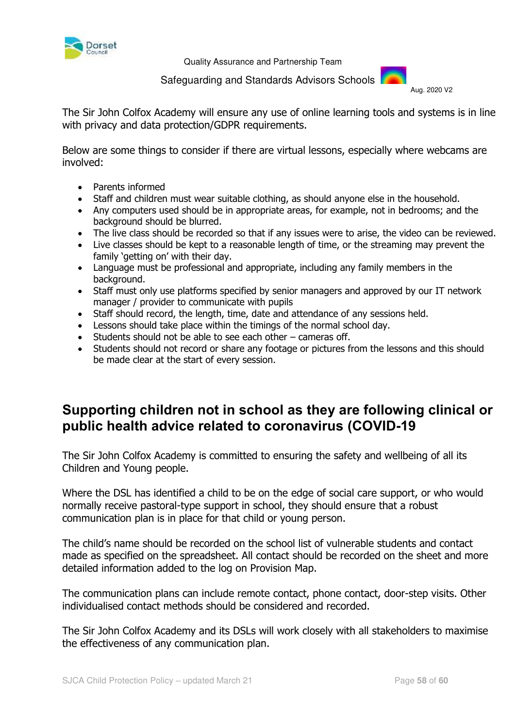

Safeguarding and Standards Advisors Schools

Aug. 2020 V2

The Sir John Colfox Academy will ensure any use of online learning tools and systems is in line with privacy and data protection/GDPR requirements.

Below are some things to consider if there are virtual lessons, especially where webcams are involved:

- Parents informed
- Staff and children must wear suitable clothing, as should anyone else in the household.
- Any computers used should be in appropriate areas, for example, not in bedrooms; and the background should be blurred.
- The live class should be recorded so that if any issues were to arise, the video can be reviewed.
- Live classes should be kept to a reasonable length of time, or the streaming may prevent the family 'getting on' with their day.
- Language must be professional and appropriate, including any family members in the background.
- Staff must only use platforms specified by senior managers and approved by our IT network manager / provider to communicate with pupils
- Staff should record, the length, time, date and attendance of any sessions held.
- Lessons should take place within the timings of the normal school day.
- $\bullet$  Students should not be able to see each other cameras off.
- Students should not record or share any footage or pictures from the lessons and this should be made clear at the start of every session.

# <span id="page-57-0"></span>**Supporting children not in school as they are following clinical or public health advice related to coronavirus (COVID-19**

The Sir John Colfox Academy is committed to ensuring the safety and wellbeing of all its Children and Young people.

Where the DSL has identified a child to be on the edge of social care support, or who would normally receive pastoral-type support in school, they should ensure that a robust communication plan is in place for that child or young person.

The child's name should be recorded on the school list of vulnerable students and contact made as specified on the spreadsheet. All contact should be recorded on the sheet and more detailed information added to the log on Provision Map.

The communication plans can include remote contact, phone contact, door-step visits. Other individualised contact methods should be considered and recorded.

The Sir John Colfox Academy and its DSLs will work closely with all stakeholders to maximise the effectiveness of any communication plan.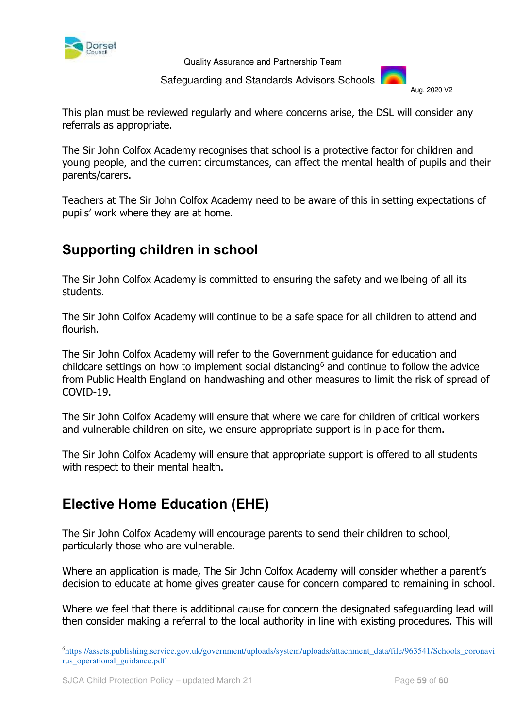

Safeguarding and Standards Advisors Schools

Aug. 2020 V2

This plan must be reviewed regularly and where concerns arise, the DSL will consider any referrals as appropriate.

The Sir John Colfox Academy recognises that school is a protective factor for children and young people, and the current circumstances, can affect the mental health of pupils and their parents/carers.

Teachers at The Sir John Colfox Academy need to be aware of this in setting expectations of pupils' work where they are at home.

# <span id="page-58-0"></span>**Supporting children in school**

The Sir John Colfox Academy is committed to ensuring the safety and wellbeing of all its students.

The Sir John Colfox Academy will continue to be a safe space for all children to attend and flourish.

The Sir John Colfox Academy will refer to the Government guidance for education and childcare settings on how to implement social distancing $6$  and continue to follow the advice from Public Health England on handwashing and other measures to limit the risk of spread of COVID-19.

The Sir John Colfox Academy will ensure that where we care for children of critical workers and vulnerable children on site, we ensure appropriate support is in place for them.

The Sir John Colfox Academy will ensure that appropriate support is offered to all students with respect to their mental health.

# <span id="page-58-1"></span>**Elective Home Education (EHE)**

The Sir John Colfox Academy will encourage parents to send their children to school, particularly those who are vulnerable.

Where an application is made, The Sir John Colfox Academy will consider whether a parent's decision to educate at home gives greater cause for concern compared to remaining in school.

Where we feel that there is additional cause for concern the designated safeguarding lead will then consider making a referral to the local authority in line with existing procedures. This will

<u>.</u>

<sup>6</sup>[https://assets.publishing.service.gov.uk/government/uploads/system/uploads/attachment\\_data/file/963541/Schools\\_coronavi](https://assets.publishing.service.gov.uk/government/uploads/system/uploads/attachment_data/file/963541/Schools_coronavirus_operational_guidance.pdf) [rus\\_operational\\_guidance.pdf](https://assets.publishing.service.gov.uk/government/uploads/system/uploads/attachment_data/file/963541/Schools_coronavirus_operational_guidance.pdf)